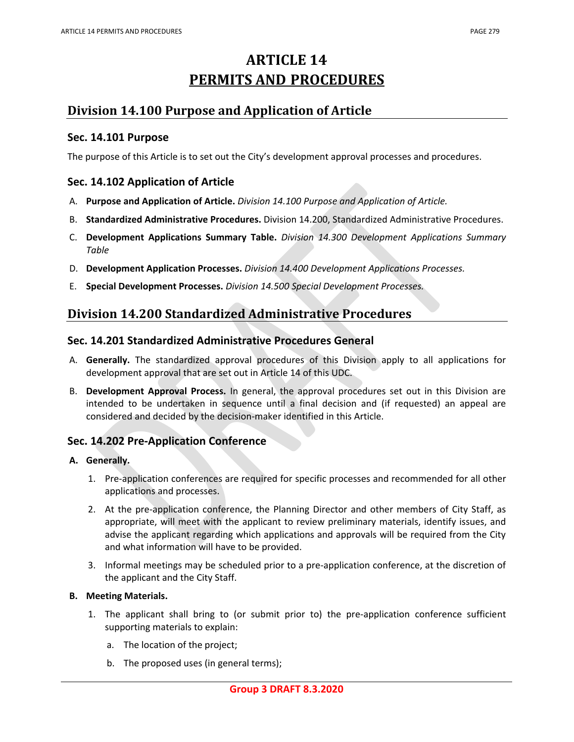# **ARTICLE 14 PERMITS AND PROCEDURES**

# **Division 14.100 Purpose and Application of Article**

### **Sec. 14.101 Purpose**

The purpose of this Article is to set out the City's development approval processes and procedures.

### **Sec. 14.102 Application of Article**

- A. **Purpose and Application of Article.** *Division 14.100 Purpose and Application of Article.*
- B. **Standardized Administrative Procedures.** Division 14.200, Standardized Administrative Procedures.
- C. **Development Applications Summary Table.** *Division 14.300 Development Applications Summary Table*
- D. **Development Application Processes.** *Division 14.400 Development Applications Processes.*
- E. **Special Development Processes.** *Division 14.500 Special Development Processes.*

# **Division 14.200 Standardized Administrative Procedures**

### **Sec. 14.201 Standardized Administrative Procedures General**

- A. **Generally.** The standardized approval procedures of this Division apply to all applications for development approval that are set out in Article 14 of this UDC.
- B. **Development Approval Process.** In general, the approval procedures set out in this Division are intended to be undertaken in sequence until a final decision and (if requested) an appeal are considered and decided by the decision‐maker identified in this Article.

### **Sec. 14.202 Pre‐Application Conference**

#### **A. Generally.**

- 1. Pre-application conferences are required for specific processes and recommended for all other applications and processes.
- 2. At the pre-application conference, the Planning Director and other members of City Staff, as appropriate, will meet with the applicant to review preliminary materials, identify issues, and advise the applicant regarding which applications and approvals will be required from the City and what information will have to be provided.
- 3. Informal meetings may be scheduled prior to a pre‐application conference, at the discretion of the applicant and the City Staff.

#### **B. Meeting Materials.**

- 1. The applicant shall bring to (or submit prior to) the pre-application conference sufficient supporting materials to explain:
	- a. The location of the project;
	- b. The proposed uses (in general terms);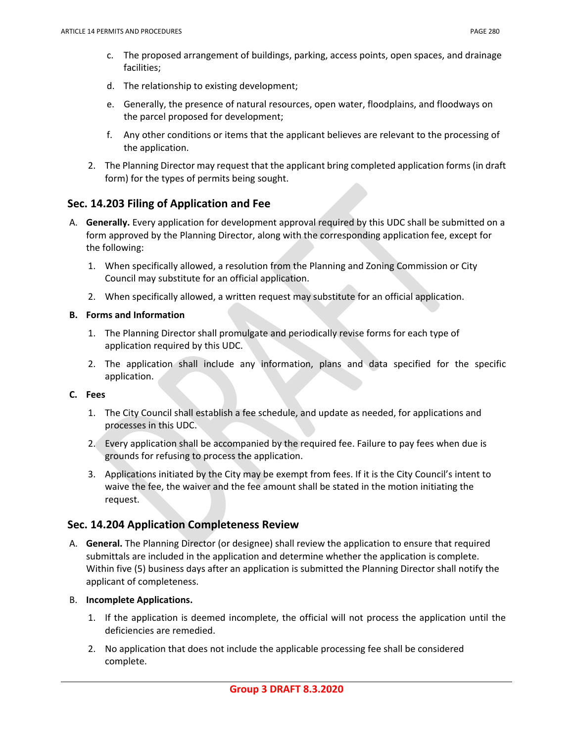- c. The proposed arrangement of buildings, parking, access points, open spaces, and drainage facilities;
- d. The relationship to existing development;
- e. Generally, the presence of natural resources, open water, floodplains, and floodways on the parcel proposed for development;
- f. Any other conditions or items that the applicant believes are relevant to the processing of the application.
- 2. The Planning Director may request that the applicant bring completed application forms (in draft form) for the types of permits being sought.

### **Sec. 14.203 Filing of Application and Fee**

- A. **Generally.** Every application for development approval required by this UDC shall be submitted on a form approved by the Planning Director, along with the corresponding application fee, except for the following:
	- 1. When specifically allowed, a resolution from the Planning and Zoning Commission or City Council may substitute for an official application.
	- 2. When specifically allowed, a written request may substitute for an official application.

### **B. Forms and Information**

- 1. The Planning Director shall promulgate and periodically revise forms for each type of application required by this UDC.
- 2. The application shall include any information, plans and data specified for the specific application.

#### **C. Fees**

- 1. The City Council shall establish a fee schedule, and update as needed, for applications and processes in this UDC.
- 2. Every application shall be accompanied by the required fee. Failure to pay fees when due is grounds for refusing to process the application.
- 3. Applications initiated by the City may be exempt from fees. If it is the City Council's intent to waive the fee, the waiver and the fee amount shall be stated in the motion initiating the request.

### **Sec. 14.204 Application Completeness Review**

A. **General.** The Planning Director (or designee) shall review the application to ensure that required submittals are included in the application and determine whether the application is complete. Within five (5) business days after an application is submitted the Planning Director shall notify the applicant of completeness.

### B. **Incomplete Applications.**

- 1. If the application is deemed incomplete, the official will not process the application until the deficiencies are remedied.
- 2. No application that does not include the applicable processing fee shall be considered complete.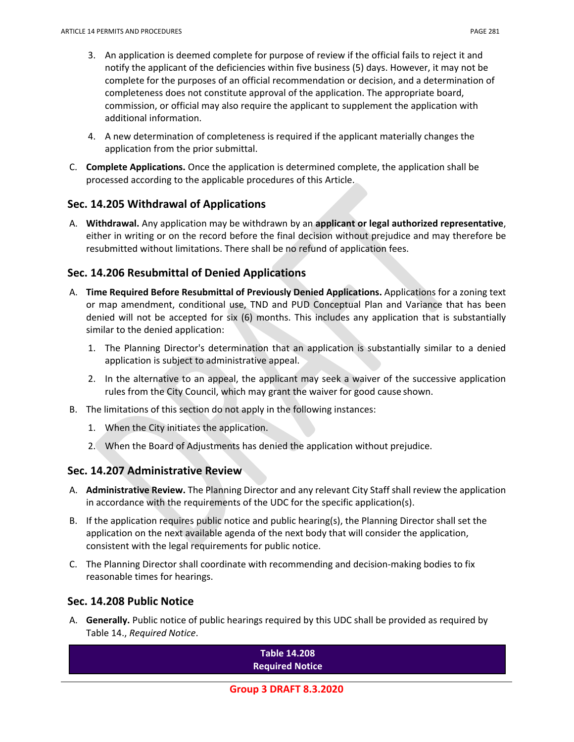- 3. An application is deemed complete for purpose of review if the official fails to reject it and notify the applicant of the deficiencies within five business (5) days. However, it may not be complete for the purposes of an official recommendation or decision, and a determination of completeness does not constitute approval of the application. The appropriate board, commission, or official may also require the applicant to supplement the application with additional information.
- 4. A new determination of completeness is required if the applicant materially changes the application from the prior submittal.
- C. **Complete Applications.** Once the application is determined complete, the application shall be processed according to the applicable procedures of this Article.

### **Sec. 14.205 Withdrawal of Applications**

A. **Withdrawal.** Any application may be withdrawn by an **applicant or legal authorized representative**, either in writing or on the record before the final decision without prejudice and may therefore be resubmitted without limitations. There shall be no refund of application fees.

### **Sec. 14.206 Resubmittal of Denied Applications**

- A. **Time Required Before Resubmittal of Previously Denied Applications.** Applications for a zoning text or map amendment, conditional use, TND and PUD Conceptual Plan and Variance that has been denied will not be accepted for six (6) months. This includes any application that is substantially similar to the denied application:
	- 1. The Planning Director's determination that an application is substantially similar to a denied application is subject to administrative appeal.
	- 2. In the alternative to an appeal, the applicant may seek a waiver of the successive application rules from the City Council, which may grant the waiver for good cause shown.
- B. The limitations of this section do not apply in the following instances:
	- 1. When the City initiates the application.
	- 2. When the Board of Adjustments has denied the application without prejudice.

### **Sec. 14.207 Administrative Review**

- A. **Administrative Review.** The Planning Director and any relevant City Staff shall review the application in accordance with the requirements of the UDC for the specific application(s).
- B. If the application requires public notice and public hearing(s), the Planning Director shall set the application on the next available agenda of the next body that will consider the application, consistent with the legal requirements for public notice.
- C. The Planning Director shall coordinate with recommending and decision‐making bodies to fix reasonable times for hearings.

### **Sec. 14.208 Public Notice**

A. **Generally.** Public notice of public hearings required by this UDC shall be provided as required by Table 14., *Required Notice*.

> **Table 14.208 Required Notice**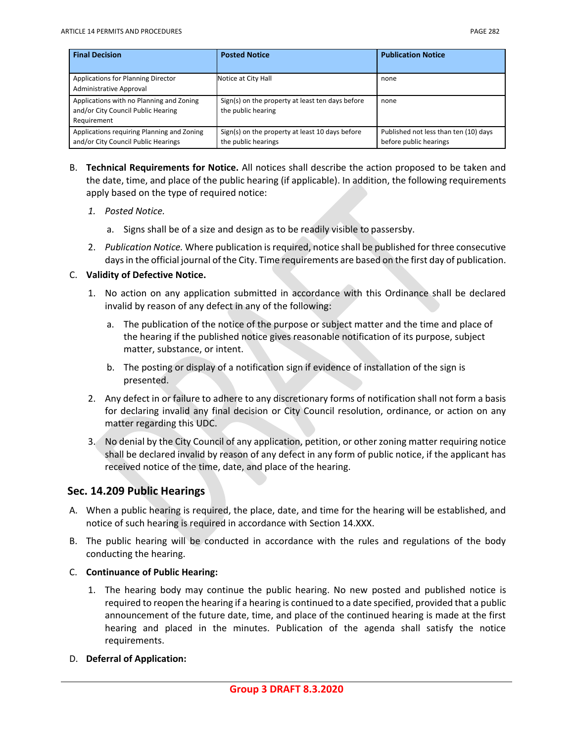| <b>Final Decision</b>                                                                         | <b>Posted Notice</b>                                                   | <b>Publication Notice</b>                                       |
|-----------------------------------------------------------------------------------------------|------------------------------------------------------------------------|-----------------------------------------------------------------|
| Applications for Planning Director<br><b>Administrative Approval</b>                          | Notice at City Hall                                                    | none                                                            |
| Applications with no Planning and Zoning<br>and/or City Council Public Hearing<br>Requirement | Sign(s) on the property at least ten days before<br>the public hearing | none                                                            |
| Applications requiring Planning and Zoning<br>and/or City Council Public Hearings             | Sign(s) on the property at least 10 days before<br>the public hearings | Published not less than ten (10) days<br>before public hearings |

- B. **Technical Requirements for Notice.** All notices shall describe the action proposed to be taken and the date, time, and place of the public hearing (if applicable). In addition, the following requirements apply based on the type of required notice:
	- *1. Posted Notice.*
		- a. Signs shall be of a size and design as to be readily visible to passersby.
	- 2. *Publication Notice.* Where publication is required, notice shall be published for three consecutive days in the official journal of the City. Time requirements are based on the first day of publication.

#### C. **Validity of Defective Notice.**

- 1. No action on any application submitted in accordance with this Ordinance shall be declared invalid by reason of any defect in any of the following:
	- a. The publication of the notice of the purpose or subject matter and the time and place of the hearing if the published notice gives reasonable notification of its purpose, subject matter, substance, or intent.
	- b. The posting or display of a notification sign if evidence of installation of the sign is presented.
- 2. Any defect in or failure to adhere to any discretionary forms of notification shall not form a basis for declaring invalid any final decision or City Council resolution, ordinance, or action on any matter regarding this UDC.
- 3. No denial by the City Council of any application, petition, or other zoning matter requiring notice shall be declared invalid by reason of any defect in any form of public notice, if the applicant has received notice of the time, date, and place of the hearing.

### **Sec. 14.209 Public Hearings**

- A. When a public hearing is required, the place, date, and time for the hearing will be established, and notice of such hearing is required in accordance with [Section 14.XXX.](https://czo.nola.gov/article-3/#3-3)
- B. The public hearing will be conducted in accordance with the rules and regulations of the body conducting the hearing.
- C. **Continuance of Public Hearing:**
	- 1. The hearing body may continue the public hearing. No new posted and published notice is required to reopen the hearing if a hearing is continued to a date specified, provided that a public announcement of the future date, time, and place of the continued hearing is made at the first hearing and placed in the minutes. Publication of the agenda shall satisfy the notice requirements.
- D. **Deferral of Application:**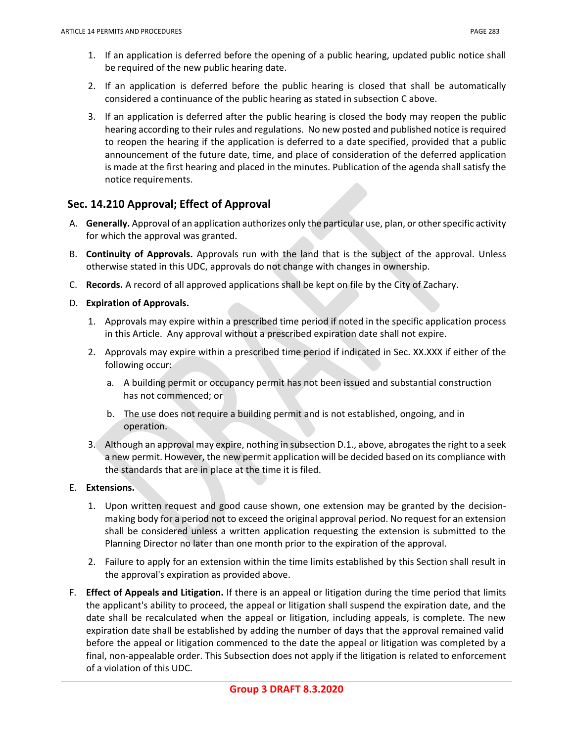- 2. If an application is deferred before the public hearing is closed that shall be automatically considered a continuance of the public hearing as stated in subsection C above.
- 3. If an application is deferred after the public hearing is closed the body may reopen the public hearing according to their rules and regulations. No new posted and published notice is required to reopen the hearing if the application is deferred to a date specified, provided that a public announcement of the future date, time, and place of consideration of the deferred application is made at the first hearing and placed in the minutes. Publication of the agenda shall satisfy the notice requirements.

## **Sec. 14.210 Approval; Effect of Approval**

- A. **Generally.** Approval of an application authorizes only the particular use, plan, or other specific activity for which the approval was granted.
- B. **Continuity of Approvals.** Approvals run with the land that is the subject of the approval. Unless otherwise stated in this UDC, approvals do not change with changes in ownership.
- C. **Records.** A record of all approved applications shall be kept on file by the City of Zachary.

### D. **Expiration of Approvals.**

- 1. Approvals may expire within a prescribed time period if noted in the specific application process in this Article. Any approval without a prescribed expiration date shall not expire.
- 2. Approvals may expire within a prescribed time period if indicated in Sec. XX.XXX if either of the following occur:
	- a. A building permit or occupancy permit has not been issued and substantial construction has not commenced; or
	- b. The use does not require a building permit and is not established, ongoing, and in operation.
- 3. Although an approval may expire, nothing in subsection D.1., above, abrogates the right to a seek a new permit. However, the new permit application will be decided based on its compliance with the standards that are in place at the time it is filed.

### E. **Extensions.**

- 1. Upon written request and good cause shown, one extension may be granted by the decision‐ making body for a period not to exceed the original approval period. No request for an extension shall be considered unless a written application requesting the extension is submitted to the Planning Director no later than one month prior to the expiration of the approval.
- 2. Failure to apply for an extension within the time limits established by this Section shall result in the approval's expiration as provided above.
- F. **Effect of Appeals and Litigation.** If there is an appeal or litigation during the time period that limits the applicant's ability to proceed, the appeal or litigation shall suspend the expiration date, and the date shall be recalculated when the appeal or litigation, including appeals, is complete. The new expiration date shall be established by adding the number of days that the approval remained valid before the appeal or litigation commenced to the date the appeal or litigation was completed by a final, non-appealable order. This Subsection does not apply if the litigation is related to enforcement of a violation of this UDC.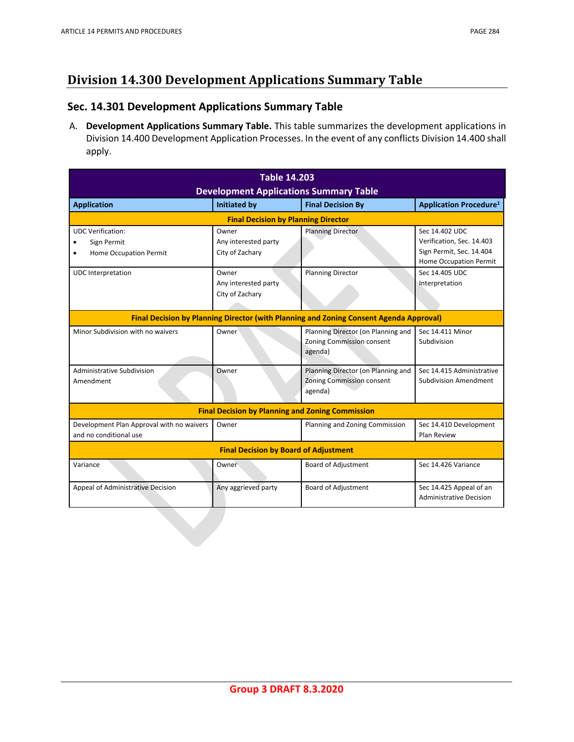# **Division 14.300 Development Applications Summary Table**

## **Sec. 14.301 Development Applications Summary Table**

A. **Development Applications Summary Table.** This table summarizes the development applications in Division 14.400 Development Application Processes. In the event of any conflicts Division 14.400 shall apply.

| <b>Table 14.203</b><br><b>Development Applications Summary Table</b>   |                                                  |                                                                                                                           |                                                                                                   |  |  |
|------------------------------------------------------------------------|--------------------------------------------------|---------------------------------------------------------------------------------------------------------------------------|---------------------------------------------------------------------------------------------------|--|--|
| <b>Application</b>                                                     | <b>Initiated by</b>                              | <b>Final Decision By</b>                                                                                                  | <b>Application Procedure<sup>1</sup></b>                                                          |  |  |
| <b>Final Decision by Planning Director</b>                             |                                                  |                                                                                                                           |                                                                                                   |  |  |
| <b>UDC Verification:</b><br>Sign Permit<br>٠<br>Home Occupation Permit | Owner<br>Any interested party<br>City of Zachary | <b>Planning Director</b>                                                                                                  | Sec 14.402 UDC<br>Verification, Sec. 14.403<br>Sign Permit, Sec. 14.404<br>Home Occupation Permit |  |  |
| <b>UDC</b> Interpretation                                              | Owner<br>Any interested party<br>City of Zachary | <b>Planning Director</b><br><b>Final Decision by Planning Director (with Planning and Zoning Consent Agenda Approval)</b> | Sec 14.405 UDC<br>Interpretation                                                                  |  |  |
| Minor Subdivision with no waivers                                      | Owner                                            | Planning Director (on Planning and<br>Zoning Commission consent<br>agenda)                                                | Sec 14.411 Minor<br>Subdivision                                                                   |  |  |
| Administrative Subdivision<br>Amendment                                | Owner                                            | Planning Director (on Planning and<br><b>Zoning Commission consent</b><br>agenda)                                         | Sec 14.415 Administrative<br><b>Subdivision Amendment</b>                                         |  |  |
| <b>Final Decision by Planning and Zoning Commission</b>                |                                                  |                                                                                                                           |                                                                                                   |  |  |
| Development Plan Approval with no waivers<br>and no conditional use    | Owner                                            | Planning and Zoning Commission                                                                                            | Sec 14.410 Development<br>Plan Review                                                             |  |  |
| <b>Final Decision by Board of Adjustment</b>                           |                                                  |                                                                                                                           |                                                                                                   |  |  |
| Variance                                                               | Owner                                            | <b>Board of Adjustment</b>                                                                                                | Sec 14.426 Variance                                                                               |  |  |
| Appeal of Administrative Decision                                      | Any aggrieved party                              | <b>Board of Adjustment</b>                                                                                                | Sec 14.425 Appeal of an<br><b>Administrative Decision</b>                                         |  |  |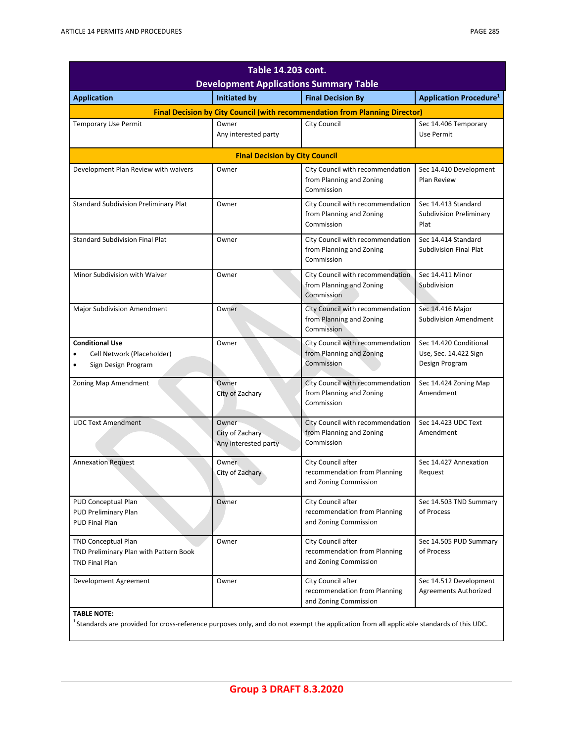| <b>Table 14.203 cont.</b><br><b>Development Applications Summary Table</b>                                                                                                |                                                  |                                                                             |                                                                   |  |  |
|---------------------------------------------------------------------------------------------------------------------------------------------------------------------------|--------------------------------------------------|-----------------------------------------------------------------------------|-------------------------------------------------------------------|--|--|
| <b>Application</b>                                                                                                                                                        | <b>Initiated by</b>                              | <b>Final Decision By</b>                                                    | <b>Application Procedure<sup>1</sup></b>                          |  |  |
| Final Decision by City Council (with recommendation from Planning Director)                                                                                               |                                                  |                                                                             |                                                                   |  |  |
| <b>Temporary Use Permit</b>                                                                                                                                               | Owner<br>Any interested party                    | City Council                                                                | Sec 14.406 Temporary<br>Use Permit                                |  |  |
|                                                                                                                                                                           | <b>Final Decision by City Council</b>            |                                                                             |                                                                   |  |  |
| Development Plan Review with waivers                                                                                                                                      | Owner                                            | City Council with recommendation<br>from Planning and Zoning<br>Commission  | Sec 14.410 Development<br>Plan Review                             |  |  |
| <b>Standard Subdivision Preliminary Plat</b>                                                                                                                              | Owner                                            | City Council with recommendation<br>from Planning and Zoning<br>Commission  | Sec 14.413 Standard<br>Subdivision Preliminary<br>Plat            |  |  |
| <b>Standard Subdivision Final Plat</b>                                                                                                                                    | Owner                                            | City Council with recommendation<br>from Planning and Zoning<br>Commission  | Sec 14.414 Standard<br><b>Subdivision Final Plat</b>              |  |  |
| Minor Subdivision with Waiver                                                                                                                                             | Owner                                            | City Council with recommendation<br>from Planning and Zoning<br>Commission  | Sec 14.411 Minor<br>Subdivision                                   |  |  |
| <b>Major Subdivision Amendment</b>                                                                                                                                        | Owner                                            | City Council with recommendation<br>from Planning and Zoning<br>Commission  | Sec 14.416 Major<br><b>Subdivision Amendment</b>                  |  |  |
| <b>Conditional Use</b><br>Cell Network (Placeholder)<br>$\bullet$<br>Sign Design Program                                                                                  | Owner                                            | City Council with recommendation<br>from Planning and Zoning<br>Commission  | Sec 14.420 Conditional<br>Use, Sec. 14.422 Sign<br>Design Program |  |  |
| Zoning Map Amendment                                                                                                                                                      | Owner<br>City of Zachary                         | City Council with recommendation<br>from Planning and Zoning<br>Commission  | Sec 14.424 Zoning Map<br>Amendment                                |  |  |
| <b>UDC Text Amendment</b>                                                                                                                                                 | Owner<br>City of Zachary<br>Any interested party | City Council with recommendation<br>from Planning and Zoning<br>Commission  | Sec 14.423 UDC Text<br>Amendment                                  |  |  |
| <b>Annexation Request</b>                                                                                                                                                 | Owner<br>City of Zachary                         | City Council after<br>recommendation from Planning<br>and Zoning Commission | Sec 14.427 Annexation<br>Request                                  |  |  |
| PUD Conceptual Plan<br><b>PUD Preliminary Plan</b><br>PUD Final Plan                                                                                                      | Owner                                            | City Council after<br>recommendation from Planning<br>and Zoning Commission | Sec 14.503 TND Summary<br>of Process                              |  |  |
| <b>TND Conceptual Plan</b><br>TND Preliminary Plan with Pattern Book<br><b>TND Final Plan</b>                                                                             | Owner                                            | City Council after<br>recommendation from Planning<br>and Zoning Commission | Sec 14.505 PUD Summary<br>of Process                              |  |  |
| Development Agreement                                                                                                                                                     | Owner                                            | City Council after<br>recommendation from Planning<br>and Zoning Commission | Sec 14.512 Development<br><b>Agreements Authorized</b>            |  |  |
| <b>TABLE NOTE:</b><br><sup>1</sup> Standards are provided for cross-reference purposes only, and do not exempt the application from all applicable standards of this UDC. |                                                  |                                                                             |                                                                   |  |  |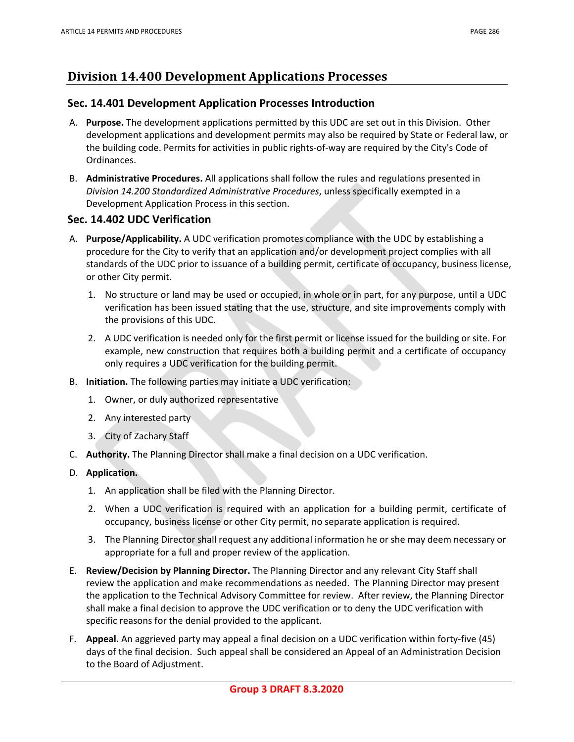# **Division 14.400 Development Applications Processes**

### **Sec. 14.401 Development Application Processes Introduction**

- A. **Purpose.** The development applications permitted by this UDC are set out in this Division. Other development applications and development permits may also be required by State or Federal law, or the building code. Permits for activities in public rights‐of‐way are required by the City's Code of Ordinances.
- B. **Administrative Procedures.** All applications shall follow the rules and regulations presented in *Division 14.200 Standardized Administrative Procedures*, unless specifically exempted in a Development Application Process in this section.

### **Sec. 14.402 UDC Verification**

- A. **Purpose/Applicability.** A UDC verification promotes compliance with the UDC by establishing a procedure for the City to verify that an application and/or development project complies with all standards of the UDC prior to issuance of a building permit, certificate of occupancy, business license, or other City permit.
	- 1. No structure or land may be used or occupied, in whole or in part, for any purpose, until a UDC verification has been issued stating that the use, structure, and site improvements comply with the provisions of this UDC.
	- 2. A UDC verification is needed only for the first permit or license issued for the building or site. For example, new construction that requires both a building permit and a certificate of occupancy only requires a UDC verification for the building permit.
- B. **Initiation.** The following parties may initiate a UDC verification:
	- 1. Owner, or duly authorized representative
	- 2. Any interested party
	- 3. City of Zachary Staff
- C. **Authority.** The Planning Director shall make a final decision on a UDC verification.
- D. **Application.** 
	- 1. An application shall be filed with the Planning Director.
	- 2. When a UDC verification is required with an application for a building permit, certificate of occupancy, business license or other City permit, no separate application is required.
	- 3. The Planning Director shall request any additional information he or she may deem necessary or appropriate for a full and proper review of the application.
- E. **Review/Decision by Planning Director.** The Planning Director and any relevant City Staff shall review the application and make recommendations as needed. The Planning Director may present the application to the Technical Advisory Committee for review. After review, the Planning Director shall make a final decision to approve the UDC verification or to deny the UDC verification with specific reasons for the denial provided to the applicant.
- F. **Appeal.** An aggrieved party may appeal a final decision on a UDC verification within forty-five (45) days of the final decision. Such appeal shall be considered an Appeal of an Administration Decision to the Board of Adjustment.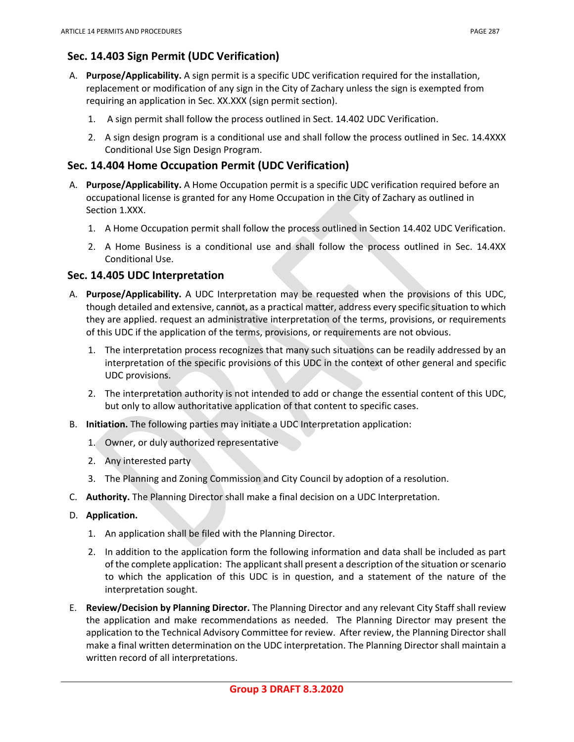# **Sec. 14.403 Sign Permit (UDC Verification)**

- A. **Purpose/Applicability.** A sign permit is a specific UDC verification required for the installation, replacement or modification of any sign in the City of Zachary unless the sign is exempted from requiring an application in Sec. XX.XXX (sign permit section).
	- 1. A sign permit shall follow the process outlined in Sect. 14.402 UDC Verification.
	- 2. A sign design program is a conditional use and shall follow the process outlined in Sec. 14.4XXX Conditional Use Sign Design Program.

## **Sec. 14.404 Home Occupation Permit (UDC Verification)**

- A. **Purpose/Applicability.** A Home Occupation permit is a specific UDC verification required before an occupational license is granted for any Home Occupation in the City of Zachary as outlined in Section 1.XXX.
	- 1. A Home Occupation permit shall follow the process outlined in Section 14.402 UDC Verification.
	- 2. A Home Business is a conditional use and shall follow the process outlined in Sec. 14.4XX Conditional Use.

### **Sec. 14.405 UDC Interpretation**

- A. **Purpose/Applicability.** A UDC Interpretation may be requested when the provisions of this UDC, though detailed and extensive, cannot, as a practical matter, address every specific situation to which they are applied. request an administrative interpretation of the terms, provisions, or requirements of this UDC if the application of the terms, provisions, or requirements are not obvious.
	- 1. The interpretation process recognizes that many such situations can be readily addressed by an interpretation of the specific provisions of this UDC in the context of other general and specific UDC provisions.
	- 2. The interpretation authority is not intended to add or change the essential content of this UDC, but only to allow authoritative application of that content to specific cases.
- B. **Initiation.** The following parties may initiate a UDC Interpretation application:
	- 1. Owner, or duly authorized representative
	- 2. Any interested party
	- 3. The Planning and Zoning Commission and City Council by adoption of a resolution.
- C. **Authority.** The Planning Director shall make a final decision on a UDC Interpretation.
- D. **Application.**
	- 1. An application shall be filed with the Planning Director.
	- 2. In addition to the application form the following information and data shall be included as part of the complete application: The applicant shall present a description of the situation or scenario to which the application of this UDC is in question, and a statement of the nature of the interpretation sought.
- E. **Review/Decision by Planning Director.** The Planning Director and any relevant City Staff shall review the application and make recommendations as needed. The Planning Director may present the application to the Technical Advisory Committee for review. After review, the Planning Director shall make a final written determination on the UDC interpretation. The Planning Director shall maintain a written record of all interpretations.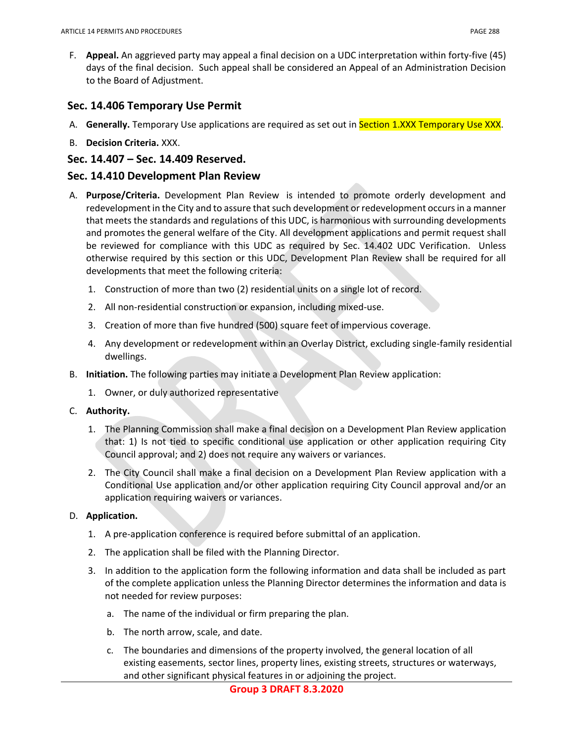F. **Appeal.** An aggrieved party may appeal a final decision on a UDC interpretation within forty-five (45) days of the final decision. Such appeal shall be considered an Appeal of an Administration Decision to the Board of Adjustment.

### **Sec. 14.406 Temporary Use Permit**

- A. **Generally.** Temporary Use applications are required as set out in Section 1.XXX Temporary Use XXX.
- B. **Decision Criteria.** XXX.

### **Sec. 14.407 – Sec. 14.409 Reserved.**

### **Sec. 14.410 Development Plan Review**

- A. **Purpose/Criteria.** Development Plan Review is intended to promote orderly development and redevelopment in the City and to assure that such development or redevelopment occurs in a manner that meets the standards and regulations of this UDC, is harmonious with surrounding developments and promotes the general welfare of the City. All development applications and permit request shall be reviewed for compliance with this UDC as required by Sec. 14.402 UDC Verification. Unless otherwise required by this section or this UDC, Development Plan Review shall be required for all developments that meet the following criteria:
	- 1. Construction of more than two (2) residential units on a single lot of record.
	- 2. All non-residential construction or expansion, including mixed-use.
	- 3. Creation of more than five hundred (500) square feet of impervious coverage.
	- 4. Any development or redevelopment within an Overlay District, excluding single-family residential dwellings.
- B. **Initiation.** The following parties may initiate a Development Plan Review application:
	- 1. Owner, or duly authorized representative
- C. **Authority.** 
	- 1. The Planning Commission shall make a final decision on a Development Plan Review application that: 1) Is not tied to specific conditional use application or other application requiring City Council approval; and 2) does not require any waivers or variances.
	- 2. The City Council shall make a final decision on a Development Plan Review application with a Conditional Use application and/or other application requiring City Council approval and/or an application requiring waivers or variances.

### D. **Application.**

- 1. A pre-application conference is required before submittal of an application.
- 2. The application shall be filed with the Planning Director.
- 3. In addition to the application form the following information and data shall be included as part of the complete application unless the Planning Director determines the information and data is not needed for review purposes:
	- a. The name of the individual or firm preparing the plan.
	- b. The north arrow, scale, and date.
	- c. The boundaries and dimensions of the property involved, the general location of all existing easements, sector lines, property lines, existing streets, structures or waterways, and other significant physical features in or adjoining the project.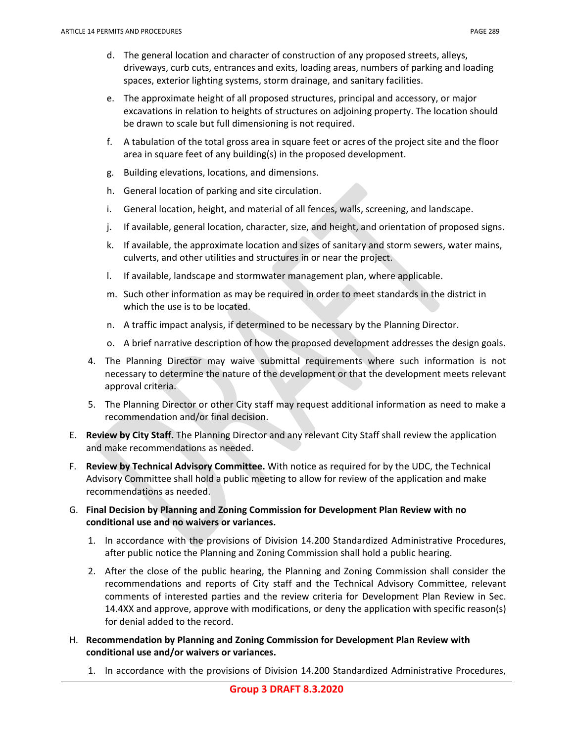- d. The general location and character of construction of any proposed streets, alleys, driveways, curb cuts, entrances and exits, loading areas, numbers of parking and loading spaces, exterior lighting systems, storm drainage, and sanitary facilities.
- e. The approximate height of all proposed structures, principal and accessory, or major excavations in relation to heights of structures on adjoining property. The location should be drawn to scale but full dimensioning is not required.
- f. A tabulation of the total gross area in square feet or acres of the project site and the floor area in square feet of any building(s) in the proposed development.
- g. Building elevations, locations, and dimensions.
- h. General location of parking and site circulation.
- i. General location, height, and material of all fences, walls, screening, and landscape.
- j. If available, general location, character, size, and height, and orientation of proposed signs.
- k. If available, the approximate location and sizes of sanitary and storm sewers, water mains, culverts, and other utilities and structures in or near the project.
- l. If available, landscape and stormwater management plan, where applicable.
- m. Such other information as may be required in order to meet standards in the district in which the use is to be located.
- n. A traffic impact analysis, if determined to be necessary by the Planning Director.
- o. A brief narrative description of how the proposed development addresses the design goals.
- 4. The Planning Director may waive submittal requirements where such information is not necessary to determine the nature of the development or that the development meets relevant approval criteria.
- 5. The Planning Director or other City staff may request additional information as need to make a recommendation and/or final decision.
- E. **Review by City Staff.** The Planning Director and any relevant City Staff shall review the application and make recommendations as needed.
- F. **Review by Technical Advisory Committee.** With notice as required for by the UDC, the Technical Advisory Committee shall hold a public meeting to allow for review of the application and make recommendations as needed.
- G. **Final Decision by Planning and Zoning Commission for Development Plan Review with no conditional use and no waivers or variances.** 
	- 1. In accordance with the provisions of Division 14.200 Standardized Administrative Procedures, after public notice the Planning and Zoning Commission shall hold a public hearing.
	- 2. After the close of the public hearing, the Planning and Zoning Commission shall consider the recommendations and reports of City staff and the Technical Advisory Committee, relevant comments of interested parties and the review criteria for Development Plan Review in Sec. 14.4XX and approve, approve with modifications, or deny the application with specific reason(s) for denial added to the record.
- H. **Recommendation by Planning and Zoning Commission for Development Plan Review with conditional use and/or waivers or variances.** 
	- 1. In accordance with the provisions of Division 14.200 Standardized Administrative Procedures,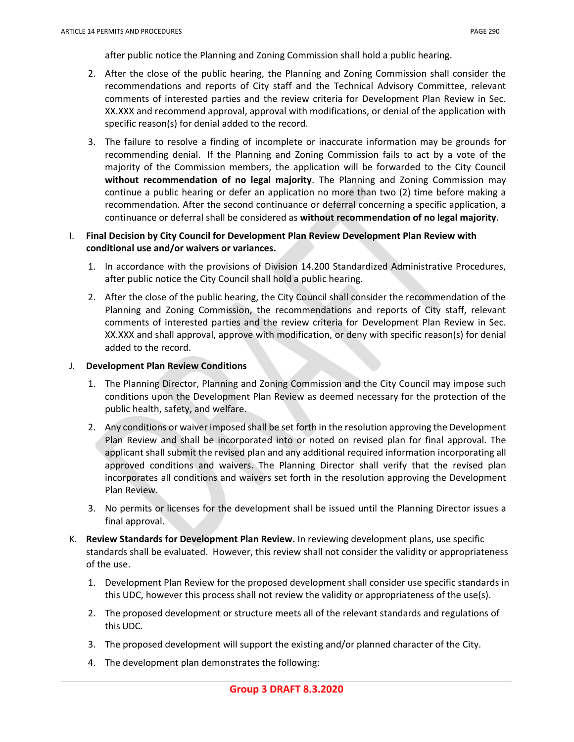after public notice the Planning and Zoning Commission shall hold a public hearing.

- 2. After the close of the public hearing, the Planning and Zoning Commission shall consider the recommendations and reports of City staff and the Technical Advisory Committee, relevant comments of interested parties and the review criteria for Development Plan Review in Sec. XX.XXX and recommend approval, approval with modifications, or denial of the application with specific reason(s) for denial added to the record.
- 3. The failure to resolve a finding of incomplete or inaccurate information may be grounds for recommending denial. If the Planning and Zoning Commission fails to act by a vote of the majority of the Commission members, the application will be forwarded to the City Council **without recommendation of no legal majority**. The Planning and Zoning Commission may continue a public hearing or defer an application no more than two (2) time before making a recommendation. After the second continuance or deferral concerning a specific application, a continuance or deferral shall be considered as **without recommendation of no legal majority**.

#### I. **Final Decision by City Council for Development Plan Review Development Plan Review with conditional use and/or waivers or variances.**

- 1. In accordance with the provisions of Division 14.200 Standardized Administrative Procedures, after public notice the City Council shall hold a public hearing.
- 2. After the close of the public hearing, the City Council shall consider the recommendation of the Planning and Zoning Commission, the recommendations and reports of City staff, relevant comments of interested parties and the review criteria for Development Plan Review in Sec. XX.XXX and shall approval, approve with modification, or deny with specific reason(s) for denial added to the record.

#### J. **Development Plan Review Conditions**

- 1. The Planning Director, Planning and Zoning Commission and the City Council may impose such conditions upon the Development Plan Review as deemed necessary for the protection of the public health, safety, and welfare.
- 2. Any conditions or waiver imposed shall be set forth in the resolution approving the Development Plan Review and shall be incorporated into or noted on revised plan for final approval. The applicant shall submit the revised plan and any additional required information incorporating all approved conditions and waivers. The Planning Director shall verify that the revised plan incorporates all conditions and waivers set forth in the resolution approving the Development Plan Review.
- 3. No permits or licenses for the development shall be issued until the Planning Director issues a final approval.
- K. **Review Standards for Development Plan Review.** In reviewing development plans, use specific standards shall be evaluated. However, this review shall not consider the validity or appropriateness of the use.
	- 1. Development Plan Review for the proposed development shall consider use specific standards in this UDC, however this process shall not review the validity or appropriateness of the use(s).
	- 2. The proposed development or structure meets all of the relevant standards and regulations of this UDC.
	- 3. The proposed development will support the existing and/or planned character of the City.
	- 4. The development plan demonstrates the following: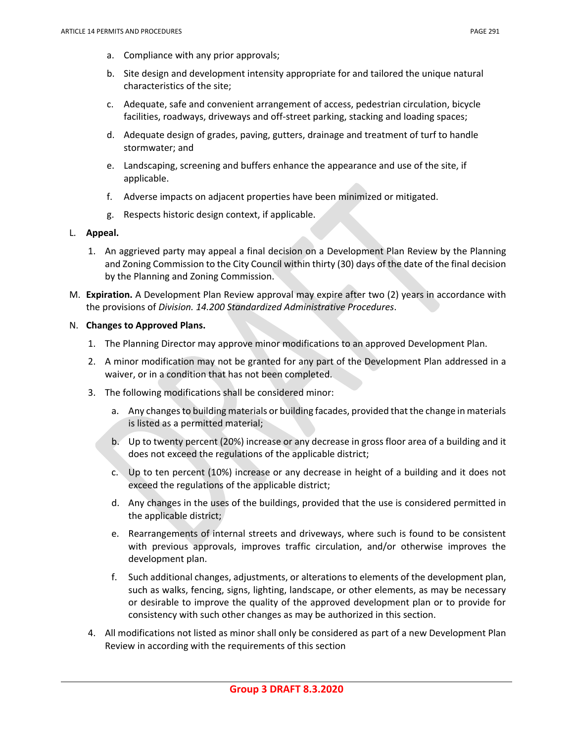- a. Compliance with any prior approvals;
- b. Site design and development intensity appropriate for and tailored the unique natural characteristics of the site;
- c. Adequate, safe and convenient arrangement of access, pedestrian circulation, bicycle facilities, roadways, driveways and off-street parking, stacking and loading spaces;
- d. Adequate design of grades, paving, gutters, drainage and treatment of turf to handle stormwater; and
- e. Landscaping, screening and buffers enhance the appearance and use of the site, if applicable.
- f. Adverse impacts on adjacent properties have been minimized or mitigated.
- g. Respects historic design context, if applicable.

#### L. **Appeal.**

- 1. An aggrieved party may appeal a final decision on a Development Plan Review by the Planning and Zoning Commission to the City Council within thirty (30) days of the date of the final decision by the Planning and Zoning Commission.
- M. **Expiration.** A Development Plan Review approval may expire after two (2) years in accordance with the provisions of *Division. 14.200 Standardized Administrative Procedures*.

#### N. **Changes to Approved Plans.**

- 1. The Planning Director may approve minor modifications to an approved Development Plan.
- 2. A minor modification may not be granted for any part of the Development Plan addressed in a waiver, or in a condition that has not been completed.
- 3. The following modifications shall be considered minor:
	- a. Any changes to building materials or building facades, provided that the change in materials is listed as a permitted material;
	- b. Up to twenty percent (20%) increase or any decrease in gross floor area of a building and it does not exceed the regulations of the applicable district;
	- c. Up to ten percent (10%) increase or any decrease in height of a building and it does not exceed the regulations of the applicable district;
	- d. Any changes in the uses of the buildings, provided that the use is considered permitted in the applicable district;
	- e. Rearrangements of internal streets and driveways, where such is found to be consistent with previous approvals, improves traffic circulation, and/or otherwise improves the development plan.
	- f. Such additional changes, adjustments, or alterations to elements of the development plan, such as walks, fencing, signs, lighting, landscape, or other elements, as may be necessary or desirable to improve the quality of the approved development plan or to provide for consistency with such other changes as may be authorized in this section.
- 4. All modifications not listed as minor shall only be considered as part of a new Development Plan Review in according with the requirements of this section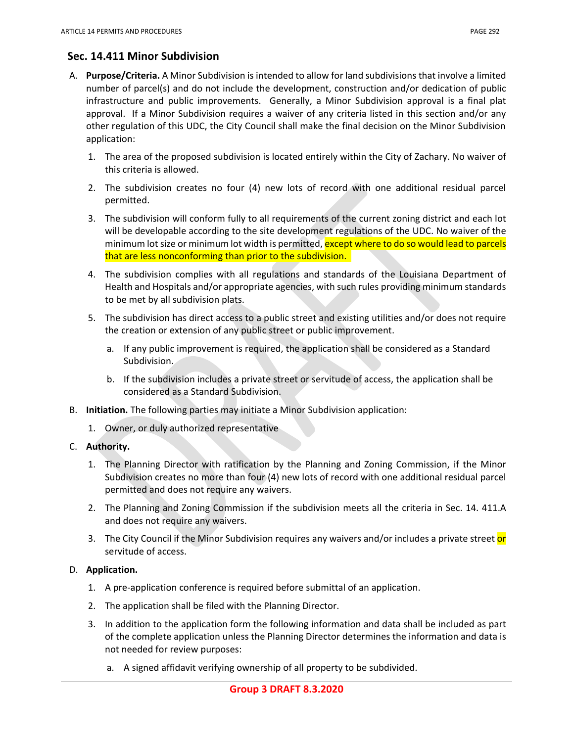## **Sec. 14.411 Minor Subdivision**

- A. **Purpose/Criteria.** A Minor Subdivision is intended to allow for land subdivisions that involve a limited number of parcel(s) and do not include the development, construction and/or dedication of public infrastructure and public improvements. Generally, a Minor Subdivision approval is a final plat approval. If a Minor Subdivision requires a waiver of any criteria listed in this section and/or any other regulation of this UDC, the City Council shall make the final decision on the Minor Subdivision application:
	- 1. The area of the proposed subdivision is located entirely within the City of Zachary. No waiver of this criteria is allowed.
	- 2. The subdivision creates no four (4) new lots of record with one additional residual parcel permitted.
	- 3. The subdivision will conform fully to all requirements of the current zoning district and each lot will be developable according to the site development regulations of the UDC. No waiver of the minimum lot size or minimum lot width is permitted, except where to do so would lead to parcels that are less nonconforming than prior to the subdivision.
	- 4. The subdivision complies with all regulations and standards of the Louisiana Department of Health and Hospitals and/or appropriate agencies, with such rules providing minimum standards to be met by all subdivision plats.
	- 5. The subdivision has direct access to a public street and existing utilities and/or does not require the creation or extension of any public street or public improvement.
		- a. If any public improvement is required, the application shall be considered as a Standard Subdivision.
		- b. If the subdivision includes a private street or servitude of access, the application shall be considered as a Standard Subdivision.
- B. **Initiation.** The following parties may initiate a Minor Subdivision application:
	- 1. Owner, or duly authorized representative
- C. **Authority.** 
	- 1. The Planning Director with ratification by the Planning and Zoning Commission, if the Minor Subdivision creates no more than four (4) new lots of record with one additional residual parcel permitted and does not require any waivers.
	- 2. The Planning and Zoning Commission if the subdivision meets all the criteria in Sec. 14. 411.A and does not require any waivers.
	- 3. The City Council if the Minor Subdivision requires any waivers and/or includes a private street or servitude of access.

### D. **Application.**

- 1. A pre-application conference is required before submittal of an application.
- 2. The application shall be filed with the Planning Director.
- 3. In addition to the application form the following information and data shall be included as part of the complete application unless the Planning Director determines the information and data is not needed for review purposes:
	- a. A signed affidavit verifying ownership of all property to be subdivided.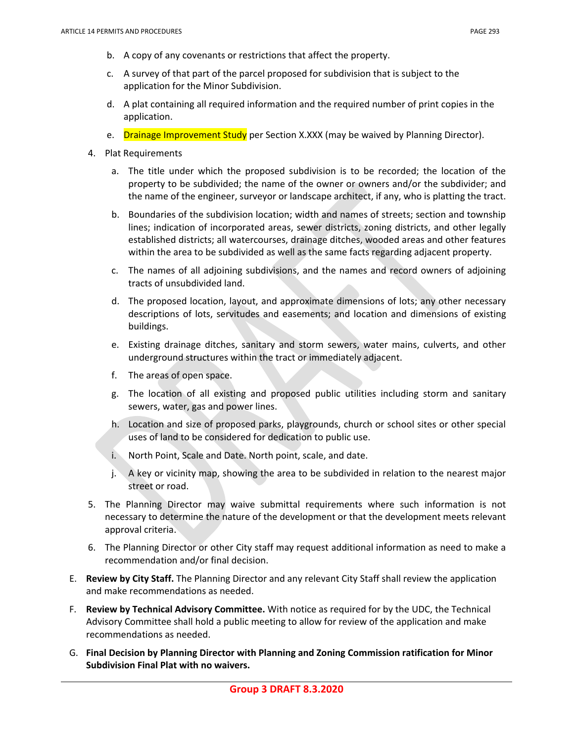- b. A copy of any covenants or restrictions that affect the property.
- c. A survey of that part of the parcel proposed for subdivision that is subject to the application for the Minor Subdivision.
- d. A plat containing all required information and the required number of print copies in the application.
- e. Drainage Improvement Study per Section X.XXX (may be waived by Planning Director).
- 4. Plat Requirements
	- a. The title under which the proposed subdivision is to be recorded; the location of the property to be subdivided; the name of the owner or owners and/or the subdivider; and the name of the engineer, surveyor or landscape architect, if any, who is platting the tract.
	- b. Boundaries of the subdivision location; width and names of streets; section and township lines; indication of incorporated areas, sewer districts, zoning districts, and other legally established districts; all watercourses, drainage ditches, wooded areas and other features within the area to be subdivided as well as the same facts regarding adjacent property.
	- c. The names of all adjoining subdivisions, and the names and record owners of adjoining tracts of unsubdivided land.
	- d. The proposed location, layout, and approximate dimensions of lots; any other necessary descriptions of lots, servitudes and easements; and location and dimensions of existing buildings.
	- e. Existing drainage ditches, sanitary and storm sewers, water mains, culverts, and other underground structures within the tract or immediately adjacent.
	- f. The areas of open space.
	- g. The location of all existing and proposed public utilities including storm and sanitary sewers, water, gas and power lines.
	- h. Location and size of proposed parks, playgrounds, church or school sites or other special uses of land to be considered for dedication to public use.
	- i. North Point, Scale and Date. North point, scale, and date.
	- j. A key or vicinity map, showing the area to be subdivided in relation to the nearest major street or road.
- 5. The Planning Director may waive submittal requirements where such information is not necessary to determine the nature of the development or that the development meets relevant approval criteria.
- 6. The Planning Director or other City staff may request additional information as need to make a recommendation and/or final decision.
- E. **Review by City Staff.** The Planning Director and any relevant City Staff shall review the application and make recommendations as needed.
- F. **Review by Technical Advisory Committee.** With notice as required for by the UDC, the Technical Advisory Committee shall hold a public meeting to allow for review of the application and make recommendations as needed.
- G. **Final Decision by Planning Director with Planning and Zoning Commission ratification for Minor Subdivision Final Plat with no waivers.**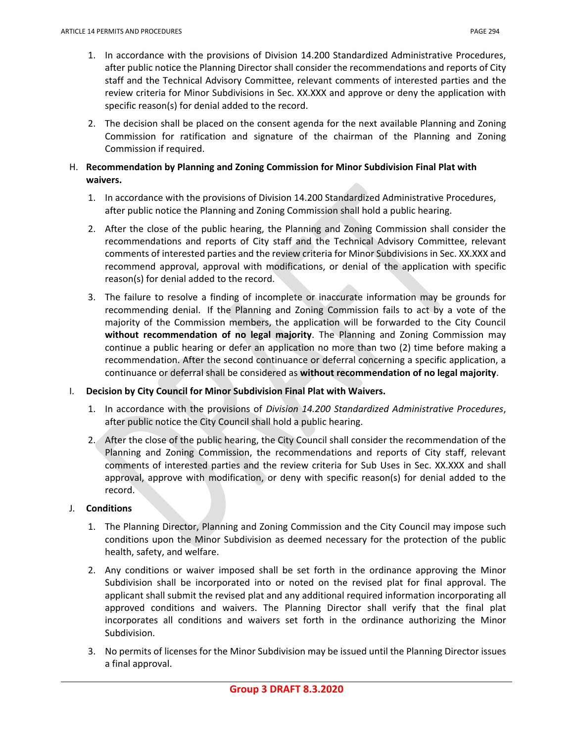- 1. In accordance with the provisions of Division 14.200 Standardized Administrative Procedures, after public notice the Planning Director shall consider the recommendations and reports of City staff and the Technical Advisory Committee, relevant comments of interested parties and the review criteria for Minor Subdivisions in Sec. XX.XXX and approve or deny the application with specific reason(s) for denial added to the record.
- 2. The decision shall be placed on the consent agenda for the next available Planning and Zoning Commission for ratification and signature of the chairman of the Planning and Zoning Commission if required.
- H. **Recommendation by Planning and Zoning Commission for Minor Subdivision Final Plat with waivers.** 
	- 1. In accordance with the provisions of Division 14.200 Standardized Administrative Procedures, after public notice the Planning and Zoning Commission shall hold a public hearing.
	- 2. After the close of the public hearing, the Planning and Zoning Commission shall consider the recommendations and reports of City staff and the Technical Advisory Committee, relevant comments of interested parties and the review criteria for Minor Subdivisions in Sec. XX.XXX and recommend approval, approval with modifications, or denial of the application with specific reason(s) for denial added to the record.
	- 3. The failure to resolve a finding of incomplete or inaccurate information may be grounds for recommending denial. If the Planning and Zoning Commission fails to act by a vote of the majority of the Commission members, the application will be forwarded to the City Council **without recommendation of no legal majority**. The Planning and Zoning Commission may continue a public hearing or defer an application no more than two (2) time before making a recommendation. After the second continuance or deferral concerning a specific application, a continuance or deferral shall be considered as **without recommendation of no legal majority**.

### I. **Decision by City Council for Minor Subdivision Final Plat with Waivers.**

- 1. In accordance with the provisions of *Division 14.200 Standardized Administrative Procedures*, after public notice the City Council shall hold a public hearing.
- 2. After the close of the public hearing, the City Council shall consider the recommendation of the Planning and Zoning Commission, the recommendations and reports of City staff, relevant comments of interested parties and the review criteria for Sub Uses in Sec. XX.XXX and shall approval, approve with modification, or deny with specific reason(s) for denial added to the record.

### J. **Conditions**

- 1. The Planning Director, Planning and Zoning Commission and the City Council may impose such conditions upon the Minor Subdivision as deemed necessary for the protection of the public health, safety, and welfare.
- 2. Any conditions or waiver imposed shall be set forth in the ordinance approving the Minor Subdivision shall be incorporated into or noted on the revised plat for final approval. The applicant shall submit the revised plat and any additional required information incorporating all approved conditions and waivers. The Planning Director shall verify that the final plat incorporates all conditions and waivers set forth in the ordinance authorizing the Minor Subdivision.
- 3. No permits of licenses for the Minor Subdivision may be issued until the Planning Director issues a final approval.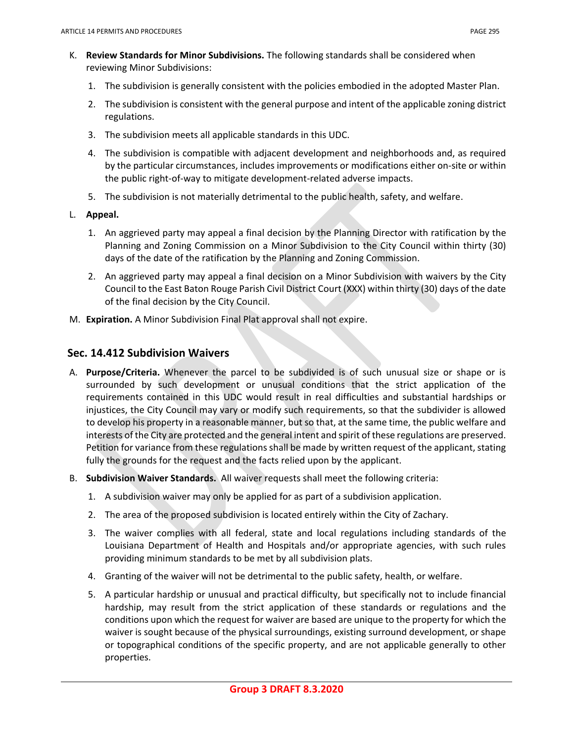- K. **Review Standards for Minor Subdivisions.** The following standards shall be considered when reviewing Minor Subdivisions:
	- 1. The subdivision is generally consistent with the policies embodied in the adopted Master Plan.
	- 2. The subdivision is consistent with the general purpose and intent of the applicable zoning district regulations.
	- 3. The subdivision meets all applicable standards in this UDC.
	- 4. The subdivision is compatible with adjacent development and neighborhoods and, as required by the particular circumstances, includes improvements or modifications either on-site or within the public right-of-way to mitigate development-related adverse impacts.
	- 5. The subdivision is not materially detrimental to the public health, safety, and welfare.
- L. **Appeal.**
	- 1. An aggrieved party may appeal a final decision by the Planning Director with ratification by the Planning and Zoning Commission on a Minor Subdivision to the City Council within thirty (30) days of the date of the ratification by the Planning and Zoning Commission.
	- 2. An aggrieved party may appeal a final decision on a Minor Subdivision with waivers by the City Council to the East Baton Rouge Parish Civil District Court (XXX) within thirty (30) days of the date of the final decision by the City Council.
- M. **Expiration.** A Minor Subdivision Final Plat approval shall not expire.

### **Sec. 14.412 Subdivision Waivers**

- A. **Purpose/Criteria.** Whenever the parcel to be subdivided is of such unusual size or shape or is surrounded by such development or unusual conditions that the strict application of the requirements contained in this UDC would result in real difficulties and substantial hardships or injustices, the City Council may vary or modify such requirements, so that the subdivider is allowed to develop his property in a reasonable manner, but so that, at the same time, the public welfare and interests of the City are protected and the general intent and spirit of these regulations are preserved. Petition for variance from these regulations shall be made by written request of the applicant, stating fully the grounds for the request and the facts relied upon by the applicant.
- B. **Subdivision Waiver Standards.** All waiver requests shall meet the following criteria:
	- 1. A subdivision waiver may only be applied for as part of a subdivision application.
	- 2. The area of the proposed subdivision is located entirely within the City of Zachary.
	- 3. The waiver complies with all federal, state and local regulations including standards of the Louisiana Department of Health and Hospitals and/or appropriate agencies, with such rules providing minimum standards to be met by all subdivision plats.
	- 4. Granting of the waiver will not be detrimental to the public safety, health, or welfare.
	- 5. A particular hardship or unusual and practical difficulty, but specifically not to include financial hardship, may result from the strict application of these standards or regulations and the conditions upon which the request for waiver are based are unique to the property for which the waiver is sought because of the physical surroundings, existing surround development, or shape or topographical conditions of the specific property, and are not applicable generally to other properties.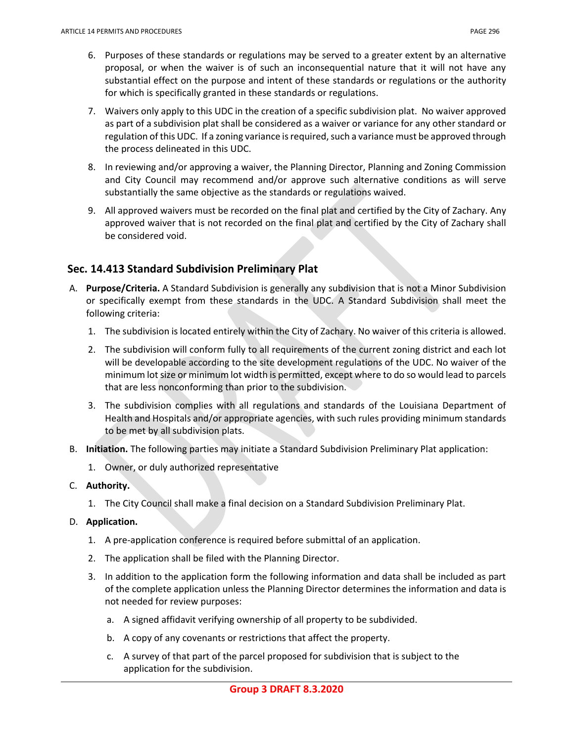- 6. Purposes of these standards or regulations may be served to a greater extent by an alternative proposal, or when the waiver is of such an inconsequential nature that it will not have any substantial effect on the purpose and intent of these standards or regulations or the authority for which is specifically granted in these standards or regulations.
- 7. Waivers only apply to this UDC in the creation of a specific subdivision plat. No waiver approved as part of a subdivision plat shall be considered as a waiver or variance for any other standard or regulation of this UDC. If a zoning variance is required, such a variance must be approved through the process delineated in this UDC.
- 8. In reviewing and/or approving a waiver, the Planning Director, Planning and Zoning Commission and City Council may recommend and/or approve such alternative conditions as will serve substantially the same objective as the standards or regulations waived.
- 9. All approved waivers must be recorded on the final plat and certified by the City of Zachary. Any approved waiver that is not recorded on the final plat and certified by the City of Zachary shall be considered void.

# **Sec. 14.413 Standard Subdivision Preliminary Plat**

- A. **Purpose/Criteria.** A Standard Subdivision is generally any subdivision that is not a Minor Subdivision or specifically exempt from these standards in the UDC. A Standard Subdivision shall meet the following criteria:
	- 1. The subdivision is located entirely within the City of Zachary. No waiver of this criteria is allowed.
	- 2. The subdivision will conform fully to all requirements of the current zoning district and each lot will be developable according to the site development regulations of the UDC. No waiver of the minimum lot size or minimum lot width is permitted, except where to do so would lead to parcels that are less nonconforming than prior to the subdivision.
	- 3. The subdivision complies with all regulations and standards of the Louisiana Department of Health and Hospitals and/or appropriate agencies, with such rules providing minimum standards to be met by all subdivision plats.
- B. **Initiation.** The following parties may initiate a Standard Subdivision Preliminary Plat application:
	- 1. Owner, or duly authorized representative
- C. **Authority.** 
	- 1. The City Council shall make a final decision on a Standard Subdivision Preliminary Plat.
- D. **Application.**
	- 1. A pre-application conference is required before submittal of an application.
	- 2. The application shall be filed with the Planning Director.
	- 3. In addition to the application form the following information and data shall be included as part of the complete application unless the Planning Director determines the information and data is not needed for review purposes:
		- a. A signed affidavit verifying ownership of all property to be subdivided.
		- b. A copy of any covenants or restrictions that affect the property.
		- c. A survey of that part of the parcel proposed for subdivision that is subject to the application for the subdivision.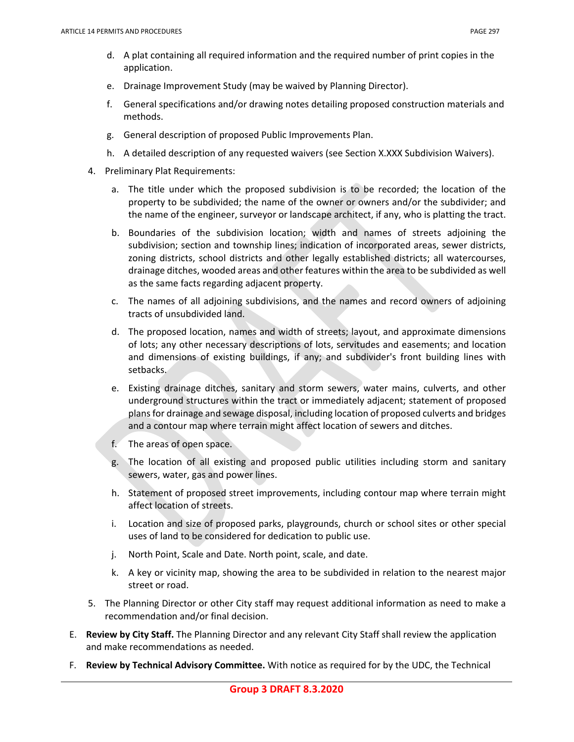- d. A plat containing all required information and the required number of print copies in the application.
- e. Drainage Improvement Study (may be waived by Planning Director).
- f. General specifications and/or drawing notes detailing proposed construction materials and methods.
- g. General description of proposed Public Improvements Plan.
- h. A detailed description of any requested waivers (see Section X.XXX Subdivision Waivers).
- 4. Preliminary Plat Requirements:
	- a. The title under which the proposed subdivision is to be recorded; the location of the property to be subdivided; the name of the owner or owners and/or the subdivider; and the name of the engineer, surveyor or landscape architect, if any, who is platting the tract.
	- b. Boundaries of the subdivision location; width and names of streets adjoining the subdivision; section and township lines; indication of incorporated areas, sewer districts, zoning districts, school districts and other legally established districts; all watercourses, drainage ditches, wooded areas and other features within the area to be subdivided as well as the same facts regarding adjacent property.
	- c. The names of all adjoining subdivisions, and the names and record owners of adjoining tracts of unsubdivided land.
	- d. The proposed location, names and width of streets; layout, and approximate dimensions of lots; any other necessary descriptions of lots, servitudes and easements; and location and dimensions of existing buildings, if any; and subdivider's front building lines with setbacks.
	- e. Existing drainage ditches, sanitary and storm sewers, water mains, culverts, and other underground structures within the tract or immediately adjacent; statement of proposed plans for drainage and sewage disposal, including location of proposed culverts and bridges and a contour map where terrain might affect location of sewers and ditches.
	- f. The areas of open space.
	- g. The location of all existing and proposed public utilities including storm and sanitary sewers, water, gas and power lines.
	- h. Statement of proposed street improvements, including contour map where terrain might affect location of streets.
	- i. Location and size of proposed parks, playgrounds, church or school sites or other special uses of land to be considered for dedication to public use.
	- j. North Point, Scale and Date. North point, scale, and date.
	- k. A key or vicinity map, showing the area to be subdivided in relation to the nearest major street or road.
- 5. The Planning Director or other City staff may request additional information as need to make a recommendation and/or final decision.
- E. **Review by City Staff.** The Planning Director and any relevant City Staff shall review the application and make recommendations as needed.
- F. **Review by Technical Advisory Committee.** With notice as required for by the UDC, the Technical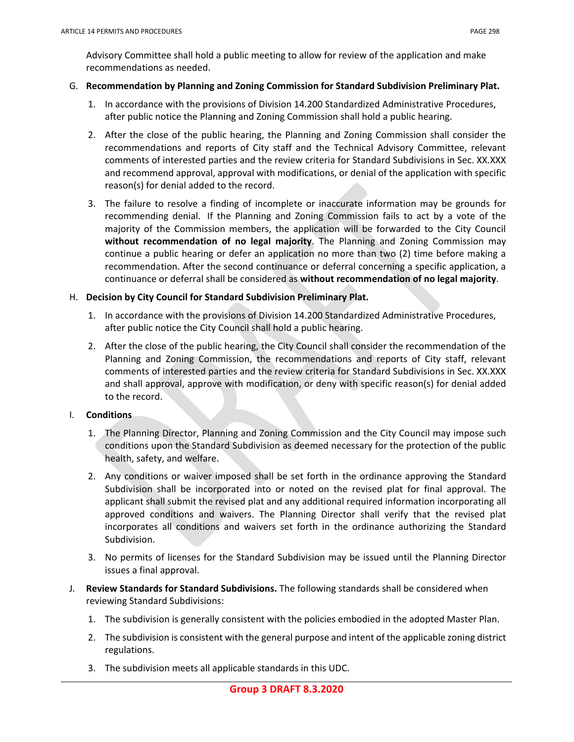Advisory Committee shall hold a public meeting to allow for review of the application and make recommendations as needed.

#### G. **Recommendation by Planning and Zoning Commission for Standard Subdivision Preliminary Plat.**

- 1. In accordance with the provisions of Division 14.200 Standardized Administrative Procedures, after public notice the Planning and Zoning Commission shall hold a public hearing.
- 2. After the close of the public hearing, the Planning and Zoning Commission shall consider the recommendations and reports of City staff and the Technical Advisory Committee, relevant comments of interested parties and the review criteria for Standard Subdivisions in Sec. XX.XXX and recommend approval, approval with modifications, or denial of the application with specific reason(s) for denial added to the record.
- 3. The failure to resolve a finding of incomplete or inaccurate information may be grounds for recommending denial. If the Planning and Zoning Commission fails to act by a vote of the majority of the Commission members, the application will be forwarded to the City Council **without recommendation of no legal majority**. The Planning and Zoning Commission may continue a public hearing or defer an application no more than two (2) time before making a recommendation. After the second continuance or deferral concerning a specific application, a continuance or deferral shall be considered as **without recommendation of no legal majority**.

#### H. **Decision by City Council for Standard Subdivision Preliminary Plat.**

- 1. In accordance with the provisions of Division 14.200 Standardized Administrative Procedures, after public notice the City Council shall hold a public hearing.
- 2. After the close of the public hearing, the City Council shall consider the recommendation of the Planning and Zoning Commission, the recommendations and reports of City staff, relevant comments of interested parties and the review criteria for Standard Subdivisions in Sec. XX.XXX and shall approval, approve with modification, or deny with specific reason(s) for denial added to the record.

#### I. **Conditions**

- 1. The Planning Director, Planning and Zoning Commission and the City Council may impose such conditions upon the Standard Subdivision as deemed necessary for the protection of the public health, safety, and welfare.
- 2. Any conditions or waiver imposed shall be set forth in the ordinance approving the Standard Subdivision shall be incorporated into or noted on the revised plat for final approval. The applicant shall submit the revised plat and any additional required information incorporating all approved conditions and waivers. The Planning Director shall verify that the revised plat incorporates all conditions and waivers set forth in the ordinance authorizing the Standard Subdivision.
- 3. No permits of licenses for the Standard Subdivision may be issued until the Planning Director issues a final approval.
- J. **Review Standards for Standard Subdivisions.** The following standards shall be considered when reviewing Standard Subdivisions:
	- 1. The subdivision is generally consistent with the policies embodied in the adopted Master Plan.
	- 2. The subdivision is consistent with the general purpose and intent of the applicable zoning district regulations.
	- 3. The subdivision meets all applicable standards in this UDC.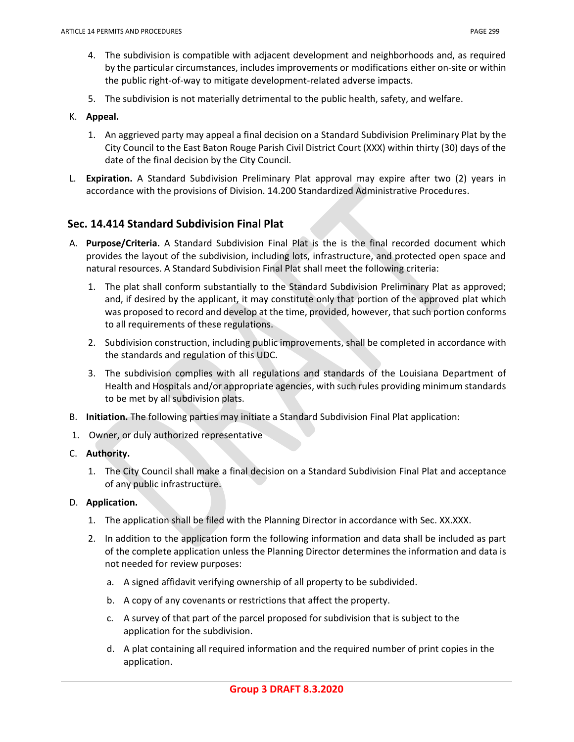- 4. The subdivision is compatible with adjacent development and neighborhoods and, as required by the particular circumstances, includes improvements or modifications either on-site or within the public right-of-way to mitigate development-related adverse impacts.
- 5. The subdivision is not materially detrimental to the public health, safety, and welfare.
- K. **Appeal.**
	- 1. An aggrieved party may appeal a final decision on a Standard Subdivision Preliminary Plat by the City Council to the East Baton Rouge Parish Civil District Court (XXX) within thirty (30) days of the date of the final decision by the City Council.
- L. **Expiration.** A Standard Subdivision Preliminary Plat approval may expire after two (2) years in accordance with the provisions of Division. 14.200 Standardized Administrative Procedures.

### **Sec. 14.414 Standard Subdivision Final Plat**

- A. **Purpose/Criteria.** A Standard Subdivision Final Plat is the is the final recorded document which provides the layout of the subdivision, including lots, infrastructure, and protected open space and natural resources. A Standard Subdivision Final Plat shall meet the following criteria:
	- 1. The plat shall conform substantially to the Standard Subdivision Preliminary Plat as approved; and, if desired by the applicant, it may constitute only that portion of the approved plat which was proposed to record and develop at the time, provided, however, that such portion conforms to all requirements of these regulations.
	- 2. Subdivision construction, including public improvements, shall be completed in accordance with the standards and regulation of this UDC.
	- 3. The subdivision complies with all regulations and standards of the Louisiana Department of Health and Hospitals and/or appropriate agencies, with such rules providing minimum standards to be met by all subdivision plats.
- B. **Initiation.** The following parties may initiate a Standard Subdivision Final Plat application:
- 1. Owner, or duly authorized representative
- C. **Authority.** 
	- 1. The City Council shall make a final decision on a Standard Subdivision Final Plat and acceptance of any public infrastructure.

#### D. **Application.**

- 1. The application shall be filed with the Planning Director in accordance with Sec. XX.XXX.
- 2. In addition to the application form the following information and data shall be included as part of the complete application unless the Planning Director determines the information and data is not needed for review purposes:
	- a. A signed affidavit verifying ownership of all property to be subdivided.
	- b. A copy of any covenants or restrictions that affect the property.
	- c. A survey of that part of the parcel proposed for subdivision that is subject to the application for the subdivision.
	- d. A plat containing all required information and the required number of print copies in the application.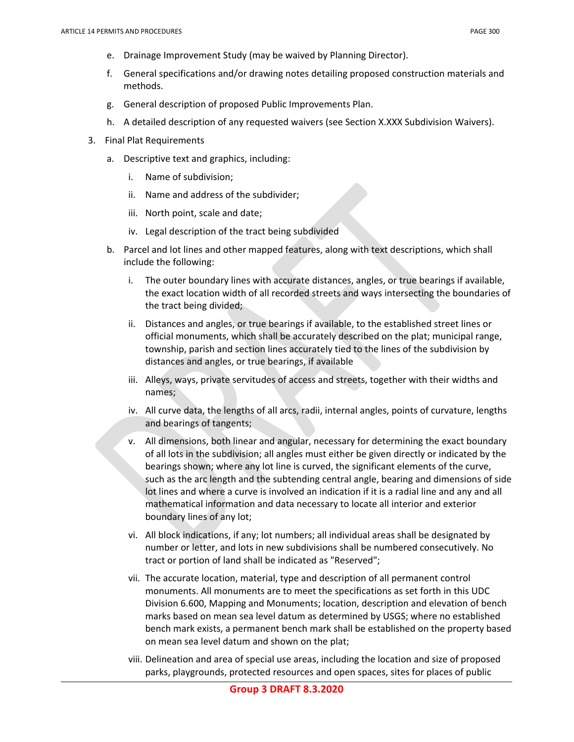- e. Drainage Improvement Study (may be waived by Planning Director).
- f. General specifications and/or drawing notes detailing proposed construction materials and methods.
- g. General description of proposed Public Improvements Plan.
- h. A detailed description of any requested waivers (see Section X.XXX Subdivision Waivers).
- 3. Final Plat Requirements
	- a. Descriptive text and graphics, including:
		- i. Name of subdivision;
		- ii. Name and address of the subdivider;
		- iii. North point, scale and date;
		- iv. Legal description of the tract being subdivided
	- b. Parcel and lot lines and other mapped features, along with text descriptions, which shall include the following:
		- i. The outer boundary lines with accurate distances, angles, or true bearings if available, the exact location width of all recorded streets and ways intersecting the boundaries of the tract being divided;
		- ii. Distances and angles, or true bearings if available, to the established street lines or official monuments, which shall be accurately described on the plat; municipal range, township, parish and section lines accurately tied to the lines of the subdivision by distances and angles, or true bearings, if available
		- iii. Alleys, ways, private servitudes of access and streets, together with their widths and names;
		- iv. All curve data, the lengths of all arcs, radii, internal angles, points of curvature, lengths and bearings of tangents;
		- v. All dimensions, both linear and angular, necessary for determining the exact boundary of all lots in the subdivision; all angles must either be given directly or indicated by the bearings shown; where any lot line is curved, the significant elements of the curve, such as the arc length and the subtending central angle, bearing and dimensions of side lot lines and where a curve is involved an indication if it is a radial line and any and all mathematical information and data necessary to locate all interior and exterior boundary lines of any lot;
		- vi. All block indications, if any; lot numbers; all individual areas shall be designated by number or letter, and lots in new subdivisions shall be numbered consecutively. No tract or portion of land shall be indicated as "Reserved";
		- vii. The accurate location, material, type and description of all permanent control monuments. All monuments are to meet the specifications as set forth in this UDC Division 6.600, Mapping and Monuments; location, description and elevation of bench marks based on mean sea level datum as determined by USGS; where no established bench mark exists, a permanent bench mark shall be established on the property based on mean sea level datum and shown on the plat;
		- viii. Delineation and area of special use areas, including the location and size of proposed parks, playgrounds, protected resources and open spaces, sites for places of public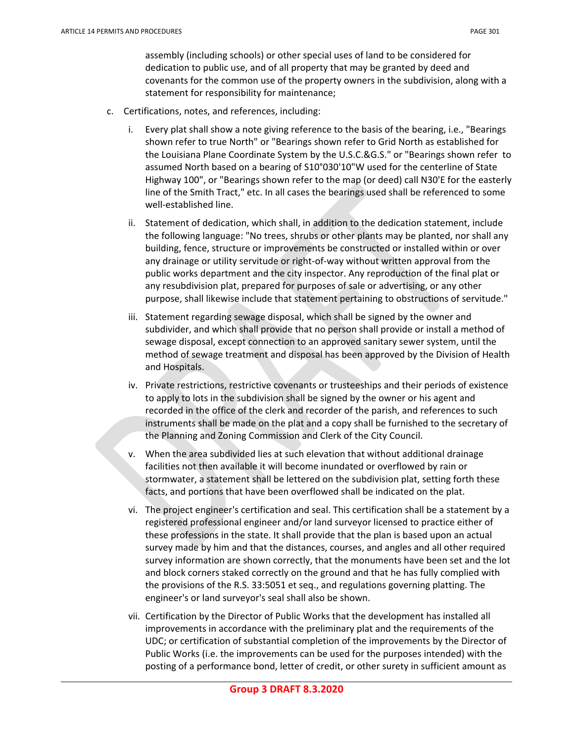assembly (including schools) or other special uses of land to be considered for dedication to public use, and of all property that may be granted by deed and covenants for the common use of the property owners in the subdivision, along with a statement for responsibility for maintenance;

- c. Certifications, notes, and references, including:
	- i. Every plat shall show a note giving reference to the basis of the bearing, i.e., "Bearings shown refer to true North" or "Bearings shown refer to Grid North as established for the Louisiana Plane Coordinate System by the U.S.C.&G.S." or "Bearings shown refer to assumed North based on a bearing of S10°030'10"W used for the centerline of State Highway 100", or "Bearings shown refer to the map (or deed) call N30'E for the easterly line of the Smith Tract," etc. In all cases the bearings used shall be referenced to some well-established line.
	- ii. Statement of dedication, which shall, in addition to the dedication statement, include the following language: "No trees, shrubs or other plants may be planted, nor shall any building, fence, structure or improvements be constructed or installed within or over any drainage or utility servitude or right‐of‐way without written approval from the public works department and the city inspector. Any reproduction of the final plat or any resubdivision plat, prepared for purposes of sale or advertising, or any other purpose, shall likewise include that statement pertaining to obstructions of servitude."
	- iii. Statement regarding sewage disposal, which shall be signed by the owner and subdivider, and which shall provide that no person shall provide or install a method of sewage disposal, except connection to an approved sanitary sewer system, until the method of sewage treatment and disposal has been approved by the Division of Health and Hospitals.
	- iv. Private restrictions, restrictive covenants or trusteeships and their periods of existence to apply to lots in the subdivision shall be signed by the owner or his agent and recorded in the office of the clerk and recorder of the parish, and references to such instruments shall be made on the plat and a copy shall be furnished to the secretary of the Planning and Zoning Commission and Clerk of the City Council.
	- v. When the area subdivided lies at such elevation that without additional drainage facilities not then available it will become inundated or overflowed by rain or stormwater, a statement shall be lettered on the subdivision plat, setting forth these facts, and portions that have been overflowed shall be indicated on the plat.
	- vi. The project engineer's certification and seal. This certification shall be a statement by a registered professional engineer and/or land surveyor licensed to practice either of these professions in the state. It shall provide that the plan is based upon an actual survey made by him and that the distances, courses, and angles and all other required survey information are shown correctly, that the monuments have been set and the lot and block corners staked correctly on the ground and that he has fully complied with the provisions of the R.S. 33:5051 et seq., and regulations governing platting. The engineer's or land surveyor's seal shall also be shown.
	- vii. Certification by the Director of Public Works that the development has installed all improvements in accordance with the preliminary plat and the requirements of the UDC; or certification of substantial completion of the improvements by the Director of Public Works (i.e. the improvements can be used for the purposes intended) with the posting of a performance bond, letter of credit, or other surety in sufficient amount as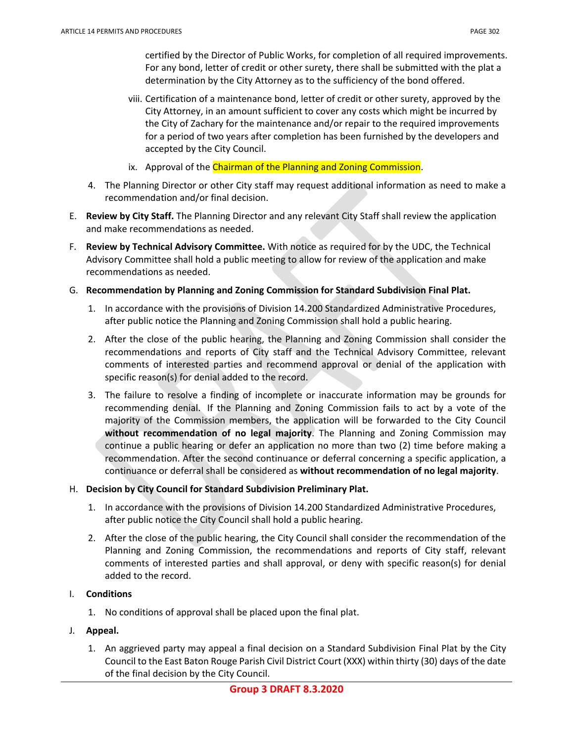certified by the Director of Public Works, for completion of all required improvements. For any bond, letter of credit or other surety, there shall be submitted with the plat a determination by the City Attorney as to the sufficiency of the bond offered.

- viii. Certification of a maintenance bond, letter of credit or other surety, approved by the City Attorney, in an amount sufficient to cover any costs which might be incurred by the City of Zachary for the maintenance and/or repair to the required improvements for a period of two years after completion has been furnished by the developers and accepted by the City Council.
- ix. Approval of the Chairman of the Planning and Zoning Commission.
- 4. The Planning Director or other City staff may request additional information as need to make a recommendation and/or final decision.
- E. **Review by City Staff.** The Planning Director and any relevant City Staff shall review the application and make recommendations as needed.
- F. **Review by Technical Advisory Committee.** With notice as required for by the UDC, the Technical Advisory Committee shall hold a public meeting to allow for review of the application and make recommendations as needed.
- G. **Recommendation by Planning and Zoning Commission for Standard Subdivision Final Plat.** 
	- 1. In accordance with the provisions of Division 14.200 Standardized Administrative Procedures, after public notice the Planning and Zoning Commission shall hold a public hearing.
	- 2. After the close of the public hearing, the Planning and Zoning Commission shall consider the recommendations and reports of City staff and the Technical Advisory Committee, relevant comments of interested parties and recommend approval or denial of the application with specific reason(s) for denial added to the record.
	- 3. The failure to resolve a finding of incomplete or inaccurate information may be grounds for recommending denial. If the Planning and Zoning Commission fails to act by a vote of the majority of the Commission members, the application will be forwarded to the City Council **without recommendation of no legal majority**. The Planning and Zoning Commission may continue a public hearing or defer an application no more than two (2) time before making a recommendation. After the second continuance or deferral concerning a specific application, a continuance or deferral shall be considered as **without recommendation of no legal majority**.

### H. **Decision by City Council for Standard Subdivision Preliminary Plat.**

- 1. In accordance with the provisions of Division 14.200 Standardized Administrative Procedures, after public notice the City Council shall hold a public hearing.
- 2. After the close of the public hearing, the City Council shall consider the recommendation of the Planning and Zoning Commission, the recommendations and reports of City staff, relevant comments of interested parties and shall approval, or deny with specific reason(s) for denial added to the record.

### I. **Conditions**

- 1. No conditions of approval shall be placed upon the final plat.
- J. **Appeal.**
	- 1. An aggrieved party may appeal a final decision on a Standard Subdivision Final Plat by the City Council to the East Baton Rouge Parish Civil District Court (XXX) within thirty (30) days of the date of the final decision by the City Council.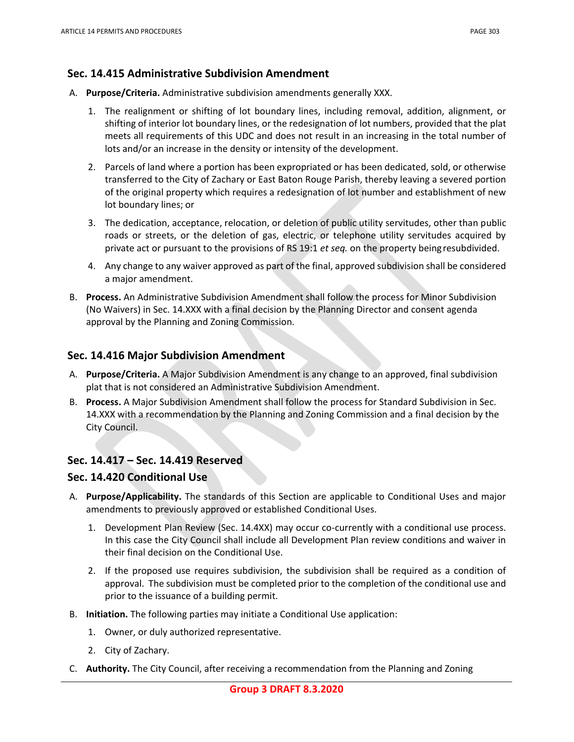### **Sec. 14.415 Administrative Subdivision Amendment**

- A. **Purpose/Criteria.** Administrative subdivision amendments generally XXX.
	- 1. The realignment or shifting of lot boundary lines, including removal, addition, alignment, or shifting of interior lot boundary lines, or the redesignation of lot numbers, provided that the plat meets all requirements of this UDC and does not result in an increasing in the total number of lots and/or an increase in the density or intensity of the development.
	- 2. Parcels of land where a portion has been expropriated or has been dedicated, sold, or otherwise transferred to the City of Zachary or East Baton Rouge Parish, thereby leaving a severed portion of the original property which requires a redesignation of lot number and establishment of new lot boundary lines; or
	- 3. The dedication, acceptance, relocation, or deletion of public utility servitudes, other than public roads or streets, or the deletion of gas, electric, or telephone utility servitudes acquired by private act or pursuant to the provisions of RS 19:1 *et seq.* on the property beingresubdivided.
	- 4. Any change to any waiver approved as part of the final, approved subdivision shall be considered a major amendment.
- B. **Process.** An Administrative Subdivision Amendment shall follow the process for Minor Subdivision (No Waivers) in Sec. 14.XXX with a final decision by the Planning Director and consent agenda approval by the Planning and Zoning Commission.

### **Sec. 14.416 Major Subdivision Amendment**

- A. **Purpose/Criteria.** A Major Subdivision Amendment is any change to an approved, final subdivision plat that is not considered an Administrative Subdivision Amendment.
- B. **Process.** A Major Subdivision Amendment shall follow the process for Standard Subdivision in Sec. 14.XXX with a recommendation by the Planning and Zoning Commission and a final decision by the City Council.

### **Sec. 14.417 – Sec. 14.419 Reserved**

### **Sec. 14.420 Conditional Use**

- A. **Purpose/Applicability.** The standards of this Section are applicable to Conditional Uses and major amendments to previously approved or established Conditional Uses.
	- 1. Development Plan Review (Sec. 14.4XX) may occur co-currently with a conditional use process. In this case the City Council shall include all Development Plan review conditions and waiver in their final decision on the Conditional Use.
	- 2. If the proposed use requires subdivision, the subdivision shall be required as a condition of approval. The subdivision must be completed prior to the completion of the conditional use and prior to the issuance of a building permit.
- B. **Initiation.** The following parties may initiate a Conditional Use application:
	- 1. Owner, or duly authorized representative.
	- 2. City of Zachary.
- C. **Authority.** The City Council, after receiving a recommendation from the Planning and Zoning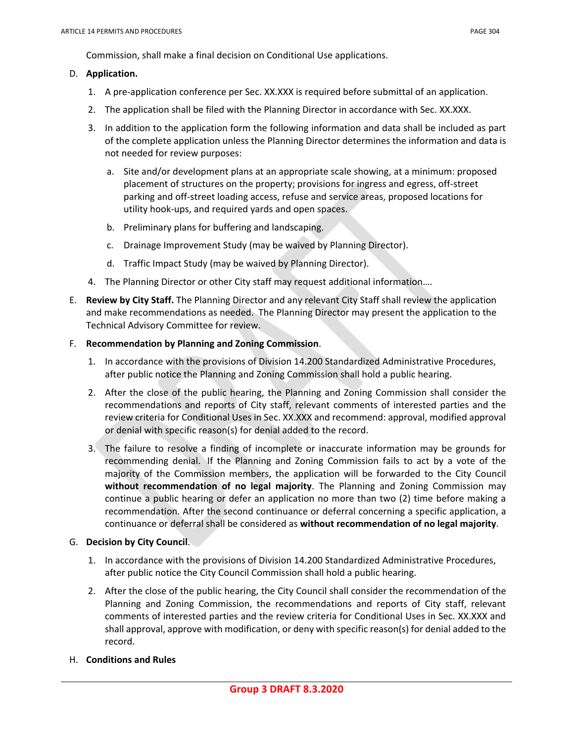Commission, shall make a final decision on Conditional Use applications.

#### D. **Application.**

- 1. A pre-application conference per Sec. XX.XXX is required before submittal of an application.
- 2. The application shall be filed with the Planning Director in accordance with Sec. XX.XXX.
- 3. In addition to the application form the following information and data shall be included as part of the complete application unless the Planning Director determines the information and data is not needed for review purposes:
	- a. Site and/or development plans at an appropriate scale showing, at a minimum: proposed placement of structures on the property; provisions for ingress and egress, off-street parking and off-street loading access, refuse and service areas, proposed locations for utility hook-ups, and required yards and open spaces.
	- b. Preliminary plans for buffering and landscaping.
	- c. Drainage Improvement Study (may be waived by Planning Director).
	- d. Traffic Impact Study (may be waived by Planning Director).
- 4. The Planning Director or other City staff may request additional information….
- E. **Review by City Staff.** The Planning Director and any relevant City Staff shall review the application and make recommendations as needed. The Planning Director may present the application to the Technical Advisory Committee for review.

#### F. **Recommendation by Planning and Zoning Commission**.

- 1. In accordance with the provisions of Division 14.200 Standardized Administrative Procedures, after public notice the Planning and Zoning Commission shall hold a public hearing.
- 2. After the close of the public hearing, the Planning and Zoning Commission shall consider the recommendations and reports of City staff, relevant comments of interested parties and the review criteria for Conditional Uses in Sec. XX.XXX and recommend: approval, modified approval or denial with specific reason(s) for denial added to the record.
- 3. The failure to resolve a finding of incomplete or inaccurate information may be grounds for recommending denial. If the Planning and Zoning Commission fails to act by a vote of the majority of the Commission members, the application will be forwarded to the City Council **without recommendation of no legal majority**. The Planning and Zoning Commission may continue a public hearing or defer an application no more than two (2) time before making a recommendation. After the second continuance or deferral concerning a specific application, a continuance or deferral shall be considered as **without recommendation of no legal majority**.

#### G. **Decision by City Council**.

- 1. In accordance with the provisions of Division 14.200 Standardized Administrative Procedures, after public notice the City Council Commission shall hold a public hearing.
- 2. After the close of the public hearing, the City Council shall consider the recommendation of the Planning and Zoning Commission, the recommendations and reports of City staff, relevant comments of interested parties and the review criteria for Conditional Uses in Sec. XX.XXX and shall approval, approve with modification, or deny with specific reason(s) for denial added to the record.
- H. **Conditions and Rules**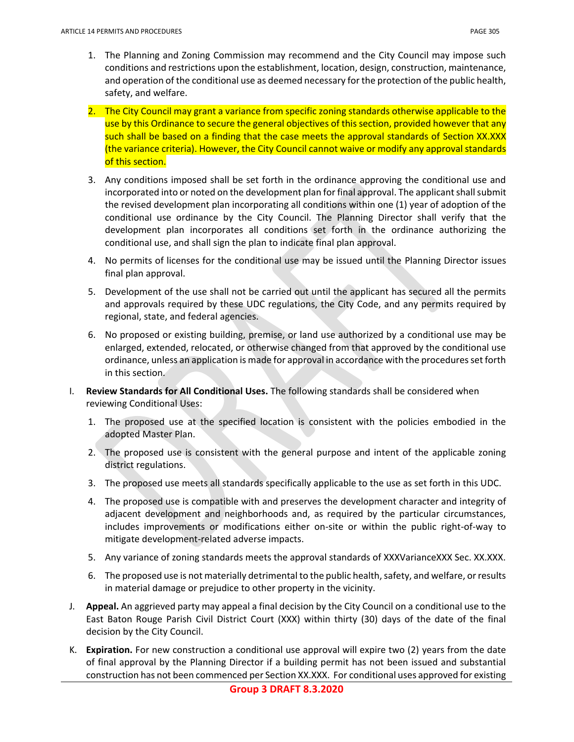- 1. The Planning and Zoning Commission may recommend and the City Council may impose such conditions and restrictions upon the establishment, location, design, construction, maintenance, and operation of the conditional use as deemed necessary for the protection of the public health, safety, and welfare.
- 2. The City Council may grant a variance from specific zoning standards otherwise applicable to the use by this Ordinance to secure the general objectives of this section, provided however that any such shall be based on a finding that the case meets the approval standards of Section XX.XXX [\(the variance criteria\).](https://czo.nola.gov/article-4/4-6/4-6-f/) However, the City Council cannot waive or modify any approval standards of this section.
- 3. Any conditions imposed shall be set forth in the ordinance approving the conditional use and incorporated into or noted on the development plan for final approval. The applicant shall submit the revised development plan incorporating all conditions within one (1) year of adoption of the conditional use ordinance by the City Council. The Planning Director shall verify that the development plan incorporates all conditions set forth in the ordinance authorizing the conditional use, and shall sign the plan to indicate final plan approval.
- 4. No permits of licenses for the conditional use may be issued until the Planning Director issues final plan approval.
- 5. Development of the use shall not be carried out until the applicant has secured all the permits and approvals required by these UDC regulations, the City Code, and any permits required by regional, state, and federal agencies.
- 6. No proposed or existing building, premise, or land use authorized by a conditional use may be enlarged, extended, relocated, or otherwise changed from that approved by the conditional use ordinance, unless an application is made for approval in accordance with the procedures set forth in this section.
- I. **Review Standards for All Conditional Uses.** The following standards shall be considered when reviewing Conditional Uses:
	- 1. The proposed use at the specified location is consistent with the policies embodied in the adopted Master Plan.
	- 2. The proposed use is consistent with the general purpose and intent of the applicable zoning district regulations.
	- 3. The proposed use meets all standards specifically applicable to the use as set forth in this UDC.
	- 4. The proposed use is compatible with and preserves the development character and integrity of adjacent development and neighborhoods and, as required by the particular circumstances, includes improvements or modifications either on-site or within the public right-of-way to mitigate development-related adverse impacts.
	- 5. Any variance of zoning standards meets the approval standards of XXXVarianceXXX Sec. XX.XXX.
	- 6. The proposed use is not materially detrimental to the public health, safety, and welfare, or results in material damage or prejudice to other property in the vicinity.
- J. **Appeal.** An aggrieved party may appeal a final decision by the City Council on a conditional use to the East Baton Rouge Parish Civil District Court (XXX) within thirty (30) days of the date of the final decision by the City Council.
- K. **Expiration.** For new construction a conditional use approval will expire two (2) years from the date of final approval by the Planning Director if a building permit has not been issued and substantial construction has not been commenced per Section XX.XXX. For conditional uses approved for existing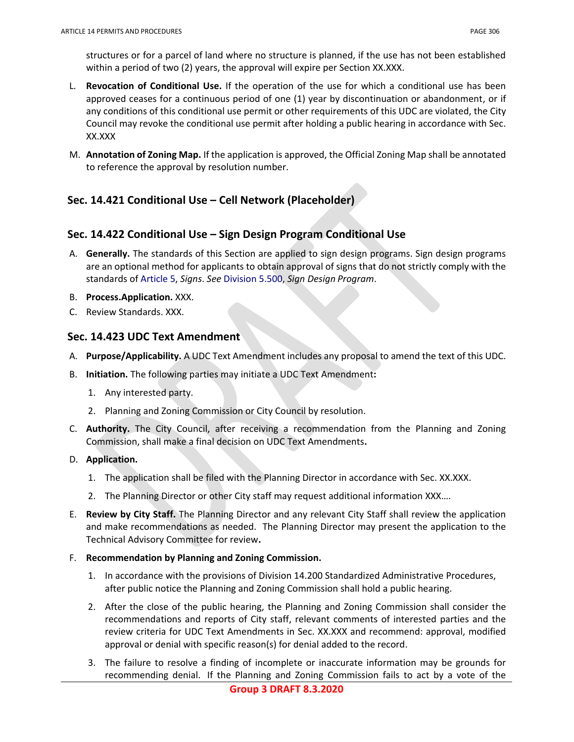structures or for a parcel of land where no structure is planned, if the use has not been established within a period of two (2) years, the approval will expire per Section XX.XXX.

- L. **Revocation of Conditional Use.** If the operation of the use for which a conditional use has been approved ceases for a continuous period of one (1) year by discontinuation or abandonment, or if any conditions of this conditional use permit or other requirements of this UDC are violated, the City Council may revoke the conditional use permit after holding a public hearing in accordance with Sec. XX.XXX
- M. **Annotation of Zoning Map.** If the application is approved, the Official Zoning Map shall be annotated to reference the approval by resolution number.

## **Sec. 14.421 Conditional Use – Cell Network (Placeholder)**

### **Sec. 14.422 Conditional Use – Sign Design Program Conditional Use**

- A. **Generally.** The standards of this Section are applied to sign design programs. Sign design programs are an optional method for applicants to obtain approval of signs that do not strictly comply with the standards of Article 5, *Signs*. *See* Division 5.500, *Sign Design Program*.
- B. **Process.Application.** XXX.
- C. Review Standards. XXX.

### **Sec. 14.423 UDC Text Amendment**

- A. **Purpose/Applicability.** A UDC Text Amendment includes any proposal to amend the text of this UDC.
- B. **Initiation.** The following parties may initiate a UDC Text Amendment**:**
	- 1. Any interested party.
	- 2. Planning and Zoning Commission or City Council by resolution.
- C. **Authority.** The City Council, after receiving a recommendation from the Planning and Zoning Commission, shall make a final decision on UDC Text Amendments**.**

### D. **Application.**

- 1. The application shall be filed with the Planning Director in accordance with Sec. XX.XXX.
- 2. The Planning Director or other City staff may request additional information XXX….
- E. **Review by City Staff.** The Planning Director and any relevant City Staff shall review the application and make recommendations as needed. The Planning Director may present the application to the Technical Advisory Committee for review**.**
- F. **Recommendation by Planning and Zoning Commission.** 
	- 1. In accordance with the provisions of Division 14.200 Standardized Administrative Procedures, after public notice the Planning and Zoning Commission shall hold a public hearing.
	- 2. After the close of the public hearing, the Planning and Zoning Commission shall consider the recommendations and reports of City staff, relevant comments of interested parties and the review criteria for UDC Text Amendments in Sec. XX.XXX and recommend: approval, modified approval or denial with specific reason(s) for denial added to the record.
	- 3. The failure to resolve a finding of incomplete or inaccurate information may be grounds for recommending denial. If the Planning and Zoning Commission fails to act by a vote of the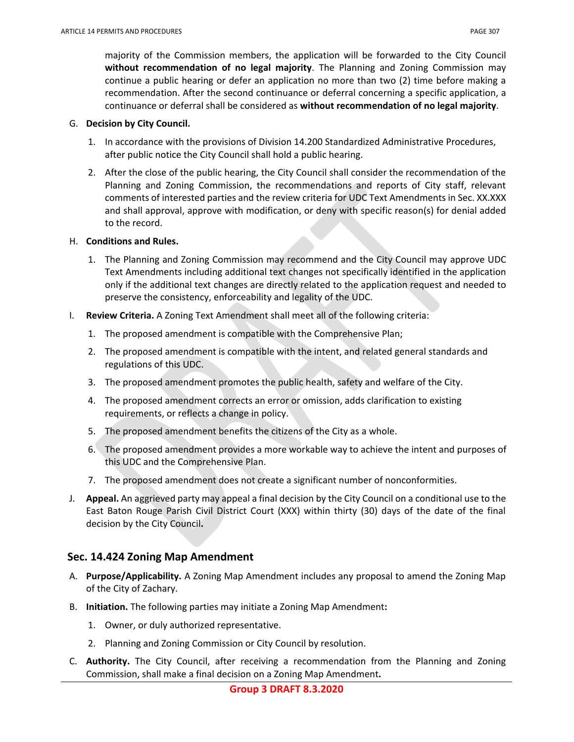majority of the Commission members, the application will be forwarded to the City Council **without recommendation of no legal majority**. The Planning and Zoning Commission may continue a public hearing or defer an application no more than two (2) time before making a recommendation. After the second continuance or deferral concerning a specific application, a continuance or deferral shall be considered as **without recommendation of no legal majority**.

#### G. **Decision by City Council.**

- 1. In accordance with the provisions of Division 14.200 Standardized Administrative Procedures, after public notice the City Council shall hold a public hearing.
- 2. After the close of the public hearing, the City Council shall consider the recommendation of the Planning and Zoning Commission, the recommendations and reports of City staff, relevant comments of interested parties and the review criteria for UDC Text Amendments in Sec. XX.XXX and shall approval, approve with modification, or deny with specific reason(s) for denial added to the record.

#### H. **Conditions and Rules.**

- 1. The Planning and Zoning Commission may recommend and the City Council may approve UDC Text Amendments including additional text changes not specifically identified in the application only if the additional text changes are directly related to the application request and needed to preserve the consistency, enforceability and legality of the UDC.
- I. **Review Criteria.** A Zoning Text Amendment shall meet all of the following criteria:
	- 1. The proposed amendment is compatible with the Comprehensive Plan;
	- 2. The proposed amendment is compatible with the intent, and related general standards and regulations of this UDC.
	- 3. The proposed amendment promotes the public health, safety and welfare of the City.
	- 4. The proposed amendment corrects an error or omission, adds clarification to existing requirements, or reflects a change in policy.
	- 5. The proposed amendment benefits the citizens of the City as a whole.
	- 6. The proposed amendment provides a more workable way to achieve the intent and purposes of this UDC and the Comprehensive Plan.
	- 7. The proposed amendment does not create a significant number of nonconformities.
- J. **Appeal.** An aggrieved party may appeal a final decision by the City Council on a conditional use to the East Baton Rouge Parish Civil District Court (XXX) within thirty (30) days of the date of the final decision by the City Council**.**

### **Sec. 14.424 Zoning Map Amendment**

- A. **Purpose/Applicability.** A Zoning Map Amendment includes any proposal to amend the Zoning Map of the City of Zachary.
- B. **Initiation.** The following parties may initiate a Zoning Map Amendment**:**
	- 1. Owner, or duly authorized representative.
	- 2. Planning and Zoning Commission or City Council by resolution.
- C. **Authority.** The City Council, after receiving a recommendation from the Planning and Zoning Commission, shall make a final decision on a Zoning Map Amendment**.**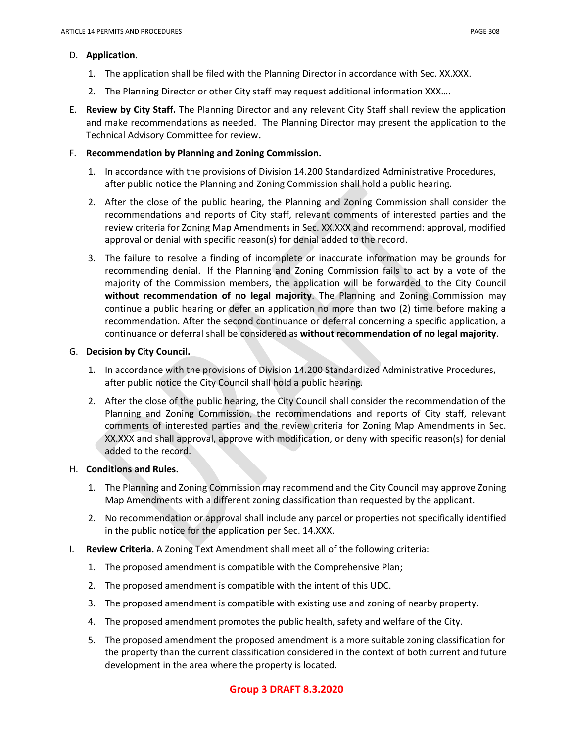#### D. **Application.**

- 1. The application shall be filed with the Planning Director in accordance with Sec. XX.XXX.
- 2. The Planning Director or other City staff may request additional information XXX….
- E. **Review by City Staff.** The Planning Director and any relevant City Staff shall review the application and make recommendations as needed. The Planning Director may present the application to the Technical Advisory Committee for review**.**

#### F. **Recommendation by Planning and Zoning Commission.**

- 1. In accordance with the provisions of Division 14.200 Standardized Administrative Procedures, after public notice the Planning and Zoning Commission shall hold a public hearing.
- 2. After the close of the public hearing, the Planning and Zoning Commission shall consider the recommendations and reports of City staff, relevant comments of interested parties and the review criteria for Zoning Map Amendments in Sec. XX.XXX and recommend: approval, modified approval or denial with specific reason(s) for denial added to the record.
- 3. The failure to resolve a finding of incomplete or inaccurate information may be grounds for recommending denial. If the Planning and Zoning Commission fails to act by a vote of the majority of the Commission members, the application will be forwarded to the City Council **without recommendation of no legal majority**. The Planning and Zoning Commission may continue a public hearing or defer an application no more than two (2) time before making a recommendation. After the second continuance or deferral concerning a specific application, a continuance or deferral shall be considered as **without recommendation of no legal majority**.

#### G. **Decision by City Council.**

- 1. In accordance with the provisions of Division 14.200 Standardized Administrative Procedures, after public notice the City Council shall hold a public hearing.
- 2. After the close of the public hearing, the City Council shall consider the recommendation of the Planning and Zoning Commission, the recommendations and reports of City staff, relevant comments of interested parties and the review criteria for Zoning Map Amendments in Sec. XX.XXX and shall approval, approve with modification, or deny with specific reason(s) for denial added to the record.

### H. **Conditions and Rules.**

- 1. The Planning and Zoning Commission may recommend and the City Council may approve Zoning Map Amendments with a different zoning classification than requested by the applicant.
- 2. No recommendation or approval shall include any parcel or properties not specifically identified in the public notice for the application per Sec. 14.XXX.
- I. **Review Criteria.** A Zoning Text Amendment shall meet all of the following criteria:
	- 1. The proposed amendment is compatible with the Comprehensive Plan;
	- 2. The proposed amendment is compatible with the intent of this UDC.
	- 3. The proposed amendment is compatible with existing use and zoning of nearby property.
	- 4. The proposed amendment promotes the public health, safety and welfare of the City.
	- 5. The proposed amendment the proposed amendment is a more suitable zoning classification for the property than the current classification considered in the context of both current and future development in the area where the property is located.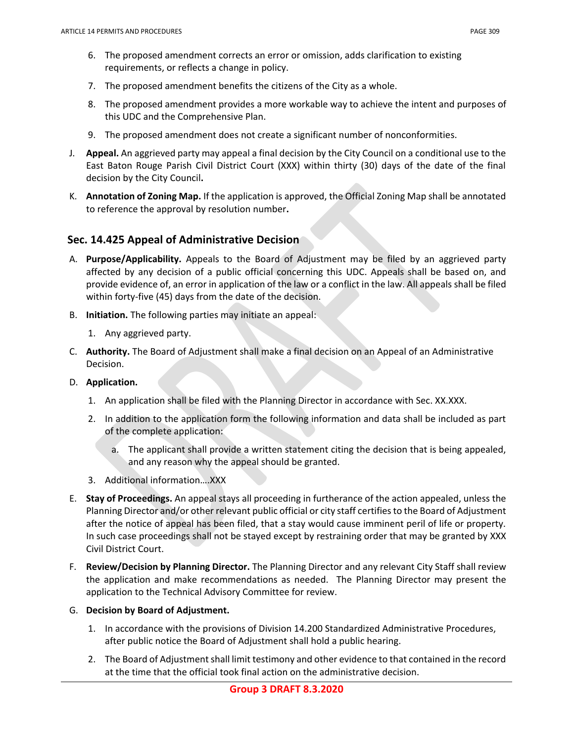- 6. The proposed amendment corrects an error or omission, adds clarification to existing requirements, or reflects a change in policy.
- 7. The proposed amendment benefits the citizens of the City as a whole.
- 8. The proposed amendment provides a more workable way to achieve the intent and purposes of this UDC and the Comprehensive Plan.
- 9. The proposed amendment does not create a significant number of nonconformities.
- J. **Appeal.** An aggrieved party may appeal a final decision by the City Council on a conditional use to the East Baton Rouge Parish Civil District Court (XXX) within thirty (30) days of the date of the final decision by the City Council**.**
- K. **Annotation of Zoning Map.** If the application is approved, the Official Zoning Map shall be annotated to reference the approval by resolution number**.**

### **Sec. 14.425 Appeal of Administrative Decision**

- A. **Purpose/Applicability.** Appeals to the Board of Adjustment may be filed by an aggrieved party affected by any decision of a public official concerning this UDC. Appeals shall be based on, and provide evidence of, an error in application of the law or a conflict in the law. All appeals shall be filed within forty-five (45) days from the date of the decision.
- B. **Initiation.** The following parties may initiate an appeal:
	- 1. Any aggrieved party.
- C. **Authority.** The Board of Adjustment shall make a final decision on an Appeal of an Administrative Decision.
- D. **Application.**
	- 1. An application shall be filed with the Planning Director in accordance with Sec. XX.XXX.
	- 2. In addition to the application form the following information and data shall be included as part of the complete application:
		- a. The applicant shall provide a written statement citing the decision that is being appealed, and any reason why the appeal should be granted.
	- 3. Additional information….XXX
- E. **Stay of Proceedings.** An appeal stays all proceeding in furtherance of the action appealed, unless the Planning Director and/or other relevant public official or city staff certifies to the Board of Adjustment after the notice of appeal has been filed, that a stay would cause imminent peril of life or property. In such case proceedings shall not be stayed except by restraining order that may be granted by XXX Civil District Court.
- F. **Review/Decision by Planning Director.** The Planning Director and any relevant City Staff shall review the application and make recommendations as needed. The Planning Director may present the application to the Technical Advisory Committee for review.
- G. **Decision by Board of Adjustment.** 
	- 1. In accordance with the provisions of Division 14.200 Standardized Administrative Procedures, after public notice the Board of Adjustment shall hold a public hearing.
	- 2. The Board of Adjustment shall limit testimony and other evidence to that contained in the record at the time that the official took final action on the administrative decision.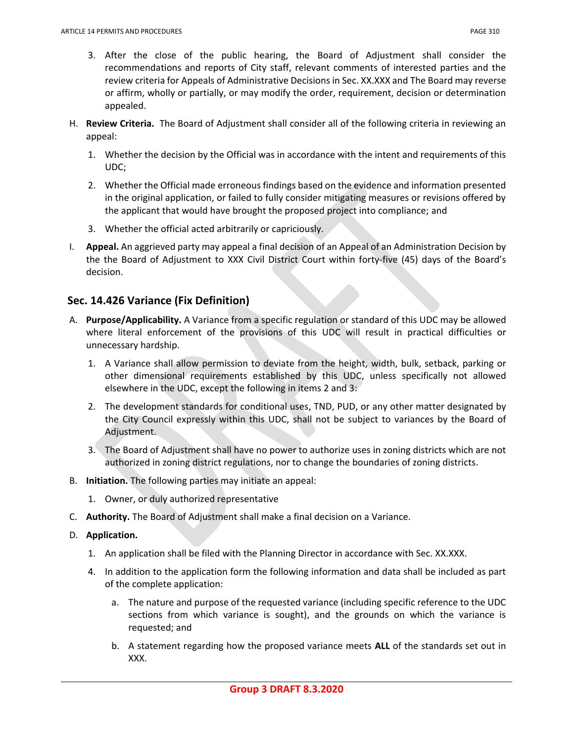- 3. After the close of the public hearing, the Board of Adjustment shall consider the recommendations and reports of City staff, relevant comments of interested parties and the review criteria for Appeals of Administrative Decisions in Sec. XX.XXX and The Board may reverse or affirm, wholly or partially, or may modify the order, requirement, decision or determination appealed.
- H. **Review Criteria.** The Board of Adjustment shall consider all of the following criteria in reviewing an appeal:
	- 1. Whether the decision by the Official was in accordance with the intent and requirements of this UDC;
	- 2. Whether the Official made erroneous findings based on the evidence and information presented in the original application, or failed to fully consider mitigating measures or revisions offered by the applicant that would have brought the proposed project into compliance; and
	- 3. Whether the official acted arbitrarily or capriciously.
- I. **Appeal.** An aggrieved party may appeal a final decision of an Appeal of an Administration Decision by the the Board of Adjustment to XXX Civil District Court within forty-five (45) days of the Board's decision.

# **Sec. 14.426 Variance (Fix Definition)**

- A. **Purpose/Applicability.** A Variance from a specific regulation or standard of this UDC may be allowed where literal enforcement of the provisions of this UDC will result in practical difficulties or unnecessary hardship.
	- 1. A Variance shall allow permission to deviate from the height, width, bulk, setback, parking or other dimensional requirements established by this UDC, unless specifically not allowed elsewhere in the UDC, except the following in items 2 and 3:
	- 2. The development standards for conditional uses, TND, PUD, or any other matter designated by the City Council expressly within this UDC, shall not be subject to variances by the Board of Adjustment.
	- 3. The Board of Adjustment shall have no power to authorize uses in zoning districts which are not authorized in zoning district regulations, nor to change the boundaries of zoning districts.
- B. **Initiation.** The following parties may initiate an appeal:
	- 1. Owner, or duly authorized representative
- C. **Authority.** The Board of Adjustment shall make a final decision on a Variance.
- D. **Application.**
	- 1. An application shall be filed with the Planning Director in accordance with Sec. XX.XXX.
	- 4. In addition to the application form the following information and data shall be included as part of the complete application:
		- a. The nature and purpose of the requested variance (including specific reference to the UDC sections from which variance is sought), and the grounds on which the variance is requested; and
		- b. A statement regarding how the proposed variance meets **ALL** of the standards set out in XXX.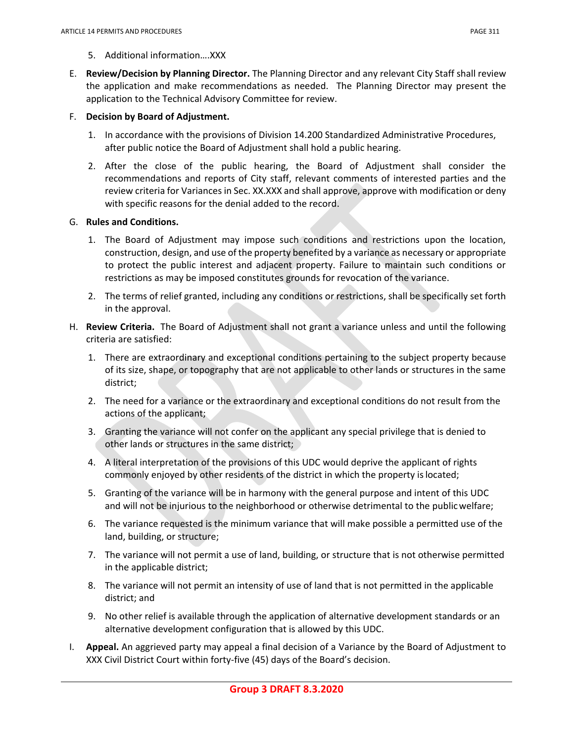- 5. Additional information….XXX
- E. **Review/Decision by Planning Director.** The Planning Director and any relevant City Staff shall review the application and make recommendations as needed. The Planning Director may present the application to the Technical Advisory Committee for review.

#### F. **Decision by Board of Adjustment.**

- 1. In accordance with the provisions of Division 14.200 Standardized Administrative Procedures, after public notice the Board of Adjustment shall hold a public hearing.
- 2. After the close of the public hearing, the Board of Adjustment shall consider the recommendations and reports of City staff, relevant comments of interested parties and the review criteria for Variances in Sec. XX.XXX and shall approve, approve with modification or deny with specific reasons for the denial added to the record.

#### G. **Rules and Conditions.**

- 1. The Board of Adjustment may impose such conditions and restrictions upon the location, construction, design, and use of the property benefited by a variance as necessary or appropriate to protect the public interest and adjacent property. Failure to maintain such conditions or restrictions as may be imposed constitutes grounds for revocation of the variance.
- 2. The terms of relief granted, including any conditions or restrictions, shall be specifically set forth in the approval.
- H. **Review Criteria.** The Board of Adjustment shall not grant a variance unless and until the following criteria are satisfied:
	- 1. There are extraordinary and exceptional conditions pertaining to the subject property because of its size, shape, or topography that are not applicable to other lands or structures in the same district;
	- 2. The need for a variance or the extraordinary and exceptional conditions do not result from the actions of the applicant;
	- 3. Granting the variance will not confer on the applicant any special privilege that is denied to other lands or structures in the same district;
	- 4. A literal interpretation of the provisions of this UDC would deprive the applicant of rights commonly enjoyed by other residents of the district in which the property islocated;
	- 5. Granting of the variance will be in harmony with the general purpose and intent of this UDC and will not be injurious to the neighborhood or otherwise detrimental to the publicwelfare;
	- 6. The variance requested is the minimum variance that will make possible a permitted use of the land, building, or structure;
	- 7. The variance will not permit a use of land, building, or structure that is not otherwise permitted in the applicable district;
	- 8. The variance will not permit an intensity of use of land that is not permitted in the applicable district; and
	- 9. No other relief is available through the application of alternative development standards or an alternative development configuration that is allowed by this UDC.
- I. **Appeal.** An aggrieved party may appeal a final decision of a Variance by the Board of Adjustment to XXX Civil District Court within forty-five (45) days of the Board's decision.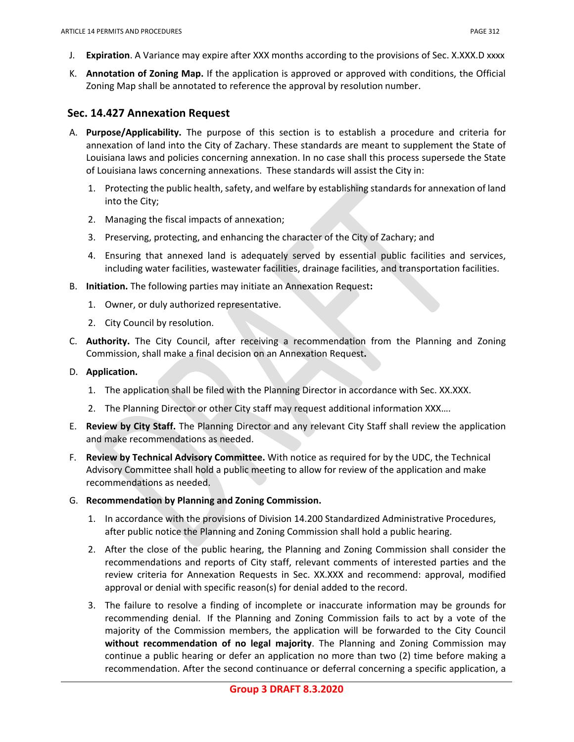- J. **Expiration**. A Variance may expire after XXX months according to the provisions of Sec. X.XXX.D xxxx
- K. **Annotation of Zoning Map.** If the application is approved or approved with conditions, the Official Zoning Map shall be annotated to reference the approval by resolution number.

### **Sec. 14.427 Annexation Request**

- A. **Purpose/Applicability.** The purpose of this section is to establish a procedure and criteria for annexation of land into the City of Zachary. These standards are meant to supplement the State of Louisiana laws and policies concerning annexation. In no case shall this process supersede the State of Louisiana laws concerning annexations. These standards will assist the City in:
	- 1. Protecting the public health, safety, and welfare by establishing standards for annexation of land into the City;
	- 2. Managing the fiscal impacts of annexation;
	- 3. Preserving, protecting, and enhancing the character of the City of Zachary; and
	- 4. Ensuring that annexed land is adequately served by essential public facilities and services, including water facilities, wastewater facilities, drainage facilities, and transportation facilities.
- B. **Initiation.** The following parties may initiate an Annexation Request**:**
	- 1. Owner, or duly authorized representative.
	- 2. City Council by resolution.
- C. **Authority.** The City Council, after receiving a recommendation from the Planning and Zoning Commission, shall make a final decision on an Annexation Request**.**
- D. **Application.**
	- 1. The application shall be filed with the Planning Director in accordance with Sec. XX.XXX.
	- 2. The Planning Director or other City staff may request additional information XXX….
- E. **Review by City Staff.** The Planning Director and any relevant City Staff shall review the application and make recommendations as needed.
- F. **Review by Technical Advisory Committee.** With notice as required for by the UDC, the Technical Advisory Committee shall hold a public meeting to allow for review of the application and make recommendations as needed.
- G. **Recommendation by Planning and Zoning Commission.** 
	- 1. In accordance with the provisions of Division 14.200 Standardized Administrative Procedures, after public notice the Planning and Zoning Commission shall hold a public hearing.
	- 2. After the close of the public hearing, the Planning and Zoning Commission shall consider the recommendations and reports of City staff, relevant comments of interested parties and the review criteria for Annexation Requests in Sec. XX.XXX and recommend: approval, modified approval or denial with specific reason(s) for denial added to the record.
	- 3. The failure to resolve a finding of incomplete or inaccurate information may be grounds for recommending denial. If the Planning and Zoning Commission fails to act by a vote of the majority of the Commission members, the application will be forwarded to the City Council **without recommendation of no legal majority**. The Planning and Zoning Commission may continue a public hearing or defer an application no more than two (2) time before making a recommendation. After the second continuance or deferral concerning a specific application, a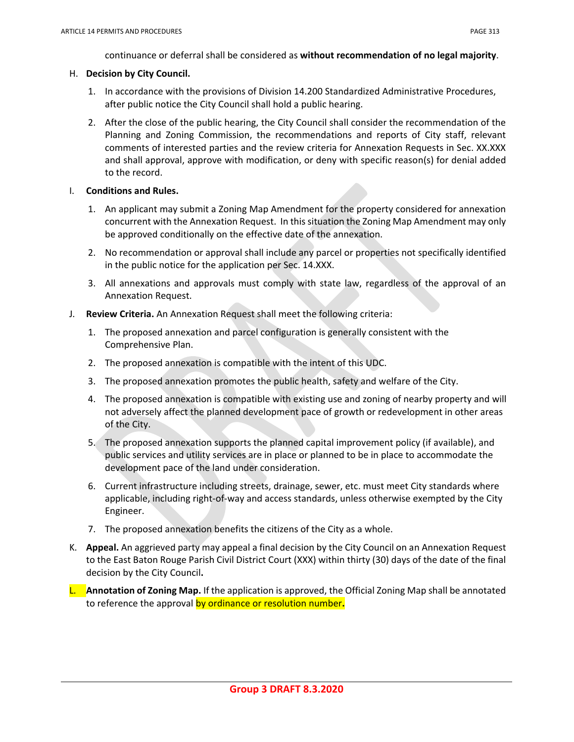continuance or deferral shall be considered as **without recommendation of no legal majority**.

#### H. **Decision by City Council.**

- 1. In accordance with the provisions of Division 14.200 Standardized Administrative Procedures, after public notice the City Council shall hold a public hearing.
- 2. After the close of the public hearing, the City Council shall consider the recommendation of the Planning and Zoning Commission, the recommendations and reports of City staff, relevant comments of interested parties and the review criteria for Annexation Requests in Sec. XX.XXX and shall approval, approve with modification, or deny with specific reason(s) for denial added to the record.

#### I. **Conditions and Rules.**

- 1. An applicant may submit a Zoning Map Amendment for the property considered for annexation concurrent with the Annexation Request. In this situation the Zoning Map Amendment may only be approved conditionally on the effective date of the annexation.
- 2. No recommendation or approval shall include any parcel or properties not specifically identified in the public notice for the application per Sec. 14.XXX.
- 3. All annexations and approvals must comply with state law, regardless of the approval of an Annexation Request.
- J. **Review Criteria.** An Annexation Request shall meet the following criteria:
	- 1. The proposed annexation and parcel configuration is generally consistent with the Comprehensive Plan.
	- 2. The proposed annexation is compatible with the intent of this UDC.
	- 3. The proposed annexation promotes the public health, safety and welfare of the City.
	- 4. The proposed annexation is compatible with existing use and zoning of nearby property and will not adversely affect the planned development pace of growth or redevelopment in other areas of the City.
	- 5. The proposed annexation supports the planned capital improvement policy (if available), and public services and utility services are in place or planned to be in place to accommodate the development pace of the land under consideration.
	- 6. Current infrastructure including streets, drainage, sewer, etc. must meet City standards where applicable, including right-of-way and access standards, unless otherwise exempted by the City Engineer.
	- 7. The proposed annexation benefits the citizens of the City as a whole.
- K. **Appeal.** An aggrieved party may appeal a final decision by the City Council on an Annexation Request to the East Baton Rouge Parish Civil District Court (XXX) within thirty (30) days of the date of the final decision by the City Council**.**
- L. **Annotation of Zoning Map.** If the application is approved, the Official Zoning Map shall be annotated to reference the approval by ordinance or resolution number**.**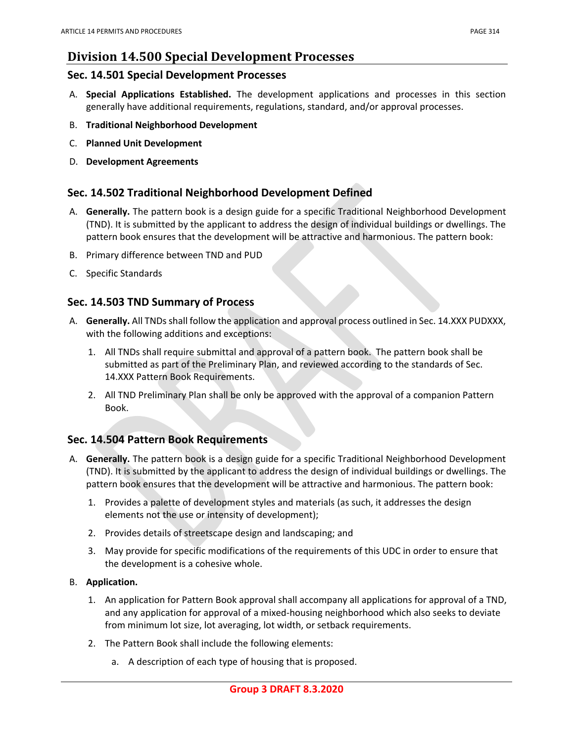## **Sec. 14.501 Special Development Processes**

- A. **Special Applications Established.** The development applications and processes in this section generally have additional requirements, regulations, standard, and/or approval processes.
- B. **Traditional Neighborhood Development**
- C. **Planned Unit Development**
- D. **Development Agreements**

# **Sec. 14.502 Traditional Neighborhood Development Defined**

- A. **Generally.** The pattern book is a design guide for a specific Traditional Neighborhood Development (TND). It is submitted by the applicant to address the design of individual buildings or dwellings. The pattern book ensures that the development will be attractive and harmonious. The pattern book:
- B. Primary difference between TND and PUD
- C. Specific Standards

# **Sec. 14.503 TND Summary of Process**

- A. **Generally.** All TNDs shall follow the application and approval process outlined in Sec. 14.XXX PUDXXX, with the following additions and exceptions:
	- 1. All TNDs shall require submittal and approval of a pattern book. The pattern book shall be submitted as part of the Preliminary Plan, and reviewed according to the standards of Sec. 14.XXX Pattern Book Requirements.
	- 2. All TND Preliminary Plan shall be only be approved with the approval of a companion Pattern Book.

# **Sec. 14.504 Pattern Book Requirements**

- A. **Generally.** The pattern book is a design guide for a specific Traditional Neighborhood Development (TND). It is submitted by the applicant to address the design of individual buildings or dwellings. The pattern book ensures that the development will be attractive and harmonious. The pattern book:
	- 1. Provides a palette of development styles and materials (as such, it addresses the design elements not the use or intensity of development);
	- 2. Provides details of streetscape design and landscaping; and
	- 3. May provide for specific modifications of the requirements of this UDC in order to ensure that the development is a cohesive whole.

# B. **Application.**

- 1. An application for Pattern Book approval shall accompany all applications for approval of a TND, and any application for approval of a mixed‐housing neighborhood which also seeks to deviate from minimum lot size, lot averaging, lot width, or setback requirements.
- 2. The Pattern Book shall include the following elements:
	- a. A description of each type of housing that is proposed.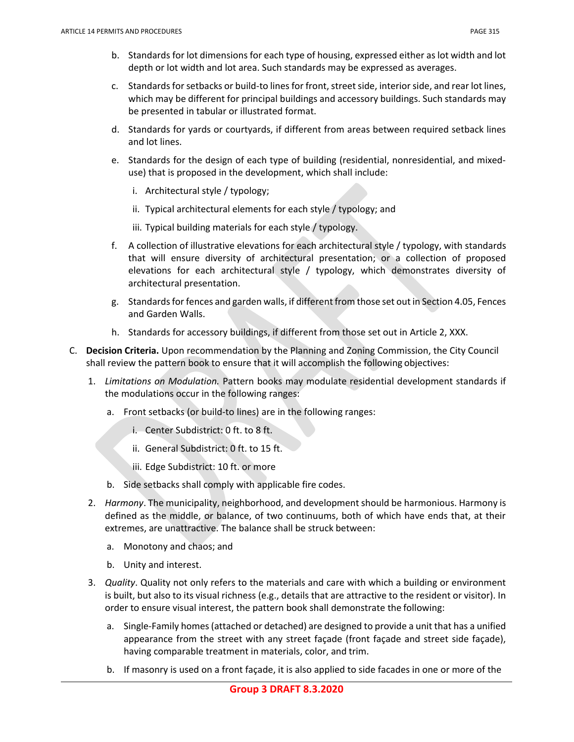- b. Standards for lot dimensions for each type of housing, expressed either as lot width and lot depth or lot width and lot area. Such standards may be expressed as averages.
- c. Standards for setbacks or build‐to lines for front, street side, interior side, and rear lot lines, which may be different for principal buildings and accessory buildings. Such standards may be presented in tabular or illustrated format.
- d. Standards for yards or courtyards, if different from areas between required setback lines and lot lines.
- e. Standards for the design of each type of building (residential, nonresidential, and mixed‐ use) that is proposed in the development, which shall include:
	- i. Architectural style / typology;
	- ii. Typical architectural elements for each style / typology; and
	- iii. Typical building materials for each style / typology.
- f. A collection of illustrative elevations for each architectural style / typology, with standards that will ensure diversity of architectural presentation; or a collection of proposed elevations for each architectural style / typology, which demonstrates diversity of architectural presentation.
- g. Standards for fences and garden walls, if different from those set out in Section 4.05, Fences and Garden Walls.
- h. Standards for accessory buildings, if different from those set out in Article 2, XXX.
- C. **Decision Criteria.** Upon recommendation by the Planning and Zoning Commission, the City Council shall review the pattern book to ensure that it will accomplish the following objectives:
	- 1. *Limitations on Modulation.* Pattern books may modulate residential development standards if the modulations occur in the following ranges:
		- a. Front setbacks (or build‐to lines) are in the following ranges:
			- i. Center Subdistrict: 0 ft. to 8 ft.
			- ii. General Subdistrict: 0 ft. to 15 ft.
			- iii. Edge Subdistrict: 10 ft. or more
		- b. Side setbacks shall comply with applicable fire codes.
	- 2. *Harmony*. The municipality, neighborhood, and development should be harmonious. Harmony is defined as the middle, or balance, of two continuums, both of which have ends that, at their extremes, are unattractive. The balance shall be struck between:
		- a. Monotony and chaos; and
		- b. Unity and interest.
	- 3. *Quality*. Quality not only refers to the materials and care with which a building or environment is built, but also to its visual richness (e.g., details that are attractive to the resident or visitor). In order to ensure visual interest, the pattern book shall demonstrate the following:
		- a. Single‐Family homes (attached or detached) are designed to provide a unit that has a unified appearance from the street with any street façade (front façade and street side façade), having comparable treatment in materials, color, and trim.
		- b. If masonry is used on a front façade, it is also applied to side facades in one or more of the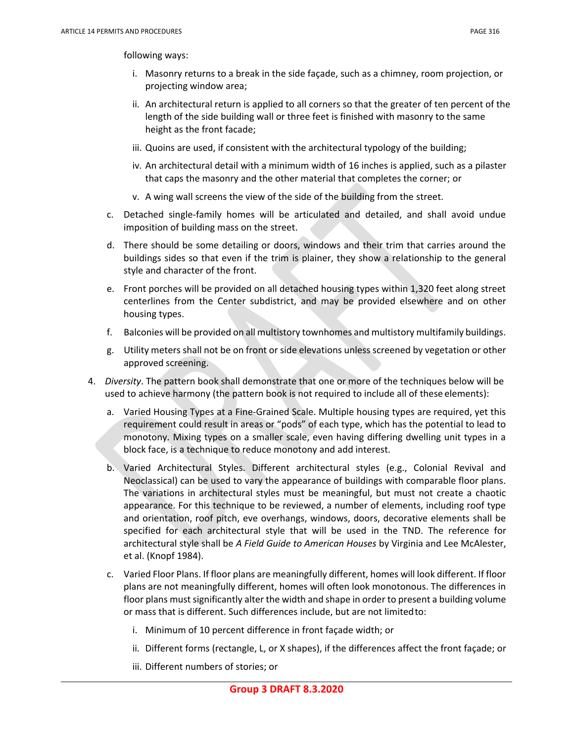following ways:

- i. Masonry returns to a break in the side façade, such as a chimney, room projection, or projecting window area;
- ii. An architectural return is applied to all corners so that the greater of ten percent of the length of the side building wall or three feet is finished with masonry to the same height as the front facade;
- iii. Quoins are used, if consistent with the architectural typology of the building;
- iv. An architectural detail with a minimum width of 16 inches is applied, such as a pilaster that caps the masonry and the other material that completes the corner; or
- v. A wing wall screens the view of the side of the building from the street.
- c. Detached single‐family homes will be articulated and detailed, and shall avoid undue imposition of building mass on the street.
- d. There should be some detailing or doors, windows and their trim that carries around the buildings sides so that even if the trim is plainer, they show a relationship to the general style and character of the front.
- e. Front porches will be provided on all detached housing types within 1,320 feet along street centerlines from the Center subdistrict, and may be provided elsewhere and on other housing types.
- f. Balconies will be provided on all multistory townhomes and multistory multifamily buildings.
- g. Utility meters shall not be on front or side elevations unless screened by vegetation or other approved screening.
- 4. *Diversity*. The pattern book shall demonstrate that one or more of the techniques below will be used to achieve harmony (the pattern book is not required to include all of these elements):
	- a. Varied Housing Types at a Fine‐Grained Scale. Multiple housing types are required, yet this requirement could result in areas or "pods" of each type, which has the potential to lead to monotony. Mixing types on a smaller scale, even having differing dwelling unit types in a block face, is a technique to reduce monotony and add interest.
	- b. Varied Architectural Styles. Different architectural styles (e.g., Colonial Revival and Neoclassical) can be used to vary the appearance of buildings with comparable floor plans. The variations in architectural styles must be meaningful, but must not create a chaotic appearance. For this technique to be reviewed, a number of elements, including roof type and orientation, roof pitch, eve overhangs, windows, doors, decorative elements shall be specified for each architectural style that will be used in the TND. The reference for architectural style shall be *A Field Guide to American Houses* by Virginia and Lee McAlester, et al. (Knopf 1984).
	- c. Varied Floor Plans. If floor plans are meaningfully different, homes will look different. If floor plans are not meaningfully different, homes will often look monotonous. The differences in floor plans must significantly alter the width and shape in order to present a building volume or mass that is different. Such differences include, but are not limitedto:
		- i. Minimum of 10 percent difference in front façade width; or
		- ii. Different forms (rectangle, L, or X shapes), if the differences affect the front façade; or
		- iii. Different numbers of stories; or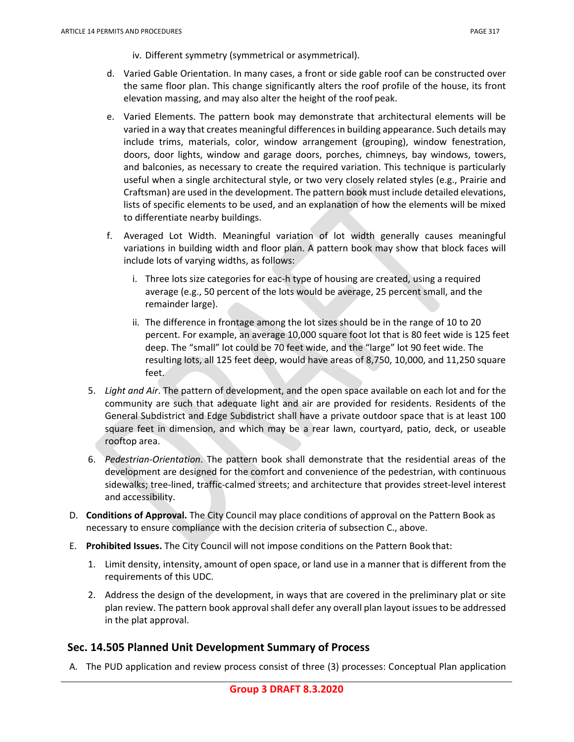- iv. Different symmetry (symmetrical or asymmetrical).
- d. Varied Gable Orientation. In many cases, a front or side gable roof can be constructed over the same floor plan. This change significantly alters the roof profile of the house, its front elevation massing, and may also alter the height of the roof peak.
- e. Varied Elements. The pattern book may demonstrate that architectural elements will be varied in a way that creates meaningful differences in building appearance. Such details may include trims, materials, color, window arrangement (grouping), window fenestration, doors, door lights, window and garage doors, porches, chimneys, bay windows, towers, and balconies, as necessary to create the required variation. This technique is particularly useful when a single architectural style, or two very closely related styles (e.g., Prairie and Craftsman) are used in the development. The pattern book must include detailed elevations, lists of specific elements to be used, and an explanation of how the elements will be mixed to differentiate nearby buildings.
- f. Averaged Lot Width. Meaningful variation of lot width generally causes meaningful variations in building width and floor plan. A pattern book may show that block faces will include lots of varying widths, as follows:
	- i. Three lots size categories for eac-h type of housing are created, using a required average (e.g., 50 percent of the lots would be average, 25 percent small, and the remainder large).
	- ii. The difference in frontage among the lot sizes should be in the range of 10 to 20 percent. For example, an average 10,000 square foot lot that is 80 feet wide is 125 feet deep. The "small" lot could be 70 feet wide, and the "large" lot 90 feet wide. The resulting lots, all 125 feet deep, would have areas of 8,750, 10,000, and 11,250 square feet.
- 5. *Light and Air*. The pattern of development, and the open space available on each lot and for the community are such that adequate light and air are provided for residents. Residents of the General Subdistrict and Edge Subdistrict shall have a private outdoor space that is at least 100 square feet in dimension, and which may be a rear lawn, courtyard, patio, deck, or useable rooftop area.
- 6. *Pedestrian‐Orientation*. The pattern book shall demonstrate that the residential areas of the development are designed for the comfort and convenience of the pedestrian, with continuous sidewalks; tree‐lined, traffic‐calmed streets; and architecture that provides street‐level interest and accessibility.
- D. **Conditions of Approval.** The City Council may place conditions of approval on the Pattern Book as necessary to ensure compliance with the decision criteria of subsection C., above.
- E. **Prohibited Issues.** The City Council will not impose conditions on the Pattern Book that:
	- 1. Limit density, intensity, amount of open space, or land use in a manner that is different from the requirements of this UDC.
	- 2. Address the design of the development, in ways that are covered in the preliminary plat or site plan review. The pattern book approval shall defer any overall plan layout issues to be addressed in the plat approval.

### **Sec. 14.505 Planned Unit Development Summary of Process**

A. The PUD application and review process consist of three (3) processes: Conceptual Plan application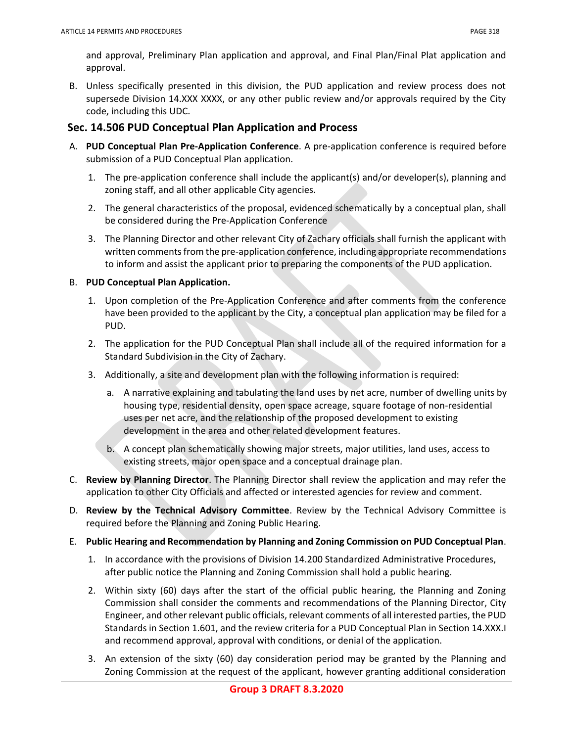and approval, Preliminary Plan application and approval, and Final Plan/Final Plat application and approval.

B. Unless specifically presented in this division, the PUD application and review process does not supersede Division 14.XXX XXXX, or any other public review and/or approvals required by the City code, including this UDC.

### **Sec. 14.506 PUD Conceptual Plan Application and Process**

- A. **PUD Conceptual Plan Pre-Application Conference**. A pre-application conference is required before submission of a PUD Conceptual Plan application.
	- 1. The pre-application conference shall include the applicant(s) and/or developer(s), planning and zoning staff, and all other applicable City agencies.
	- 2. The general characteristics of the proposal, evidenced schematically by a conceptual plan, shall be considered during the Pre-Application Conference
	- 3. The Planning Director and other relevant City of Zachary officials shall furnish the applicant with written comments from the pre-application conference, including appropriate recommendations to inform and assist the applicant prior to preparing the components of the PUD application.

### B. **PUD Conceptual Plan Application.**

- 1. Upon completion of the Pre-Application Conference and after comments from the conference have been provided to the applicant by the City, a conceptual plan application may be filed for a PUD.
- 2. The application for the PUD Conceptual Plan shall include all of the required information for a Standard Subdivision in the City of Zachary.
- 3. Additionally, a site and development plan with the following information is required:
	- a. A narrative explaining and tabulating the land uses by net acre, number of dwelling units by housing type, residential density, open space acreage, square footage of non-residential uses per net acre, and the relationship of the proposed development to existing development in the area and other related development features.
	- b. A concept plan schematically showing major streets, major utilities, land uses, access to existing streets, major open space and a conceptual drainage plan.
- C. **Review by Planning Director**. The Planning Director shall review the application and may refer the application to other City Officials and affected or interested agencies for review and comment.
- D. **Review by the Technical Advisory Committee**. Review by the Technical Advisory Committee is required before the Planning and Zoning Public Hearing.
- E. **Public Hearing and Recommendation by Planning and Zoning Commission on PUD Conceptual Plan**.
	- 1. In accordance with the provisions of Division 14.200 Standardized Administrative Procedures, after public notice the Planning and Zoning Commission shall hold a public hearing.
	- 2. Within sixty (60) days after the start of the official public hearing, the Planning and Zoning Commission shall consider the comments and recommendations of the Planning Director, City Engineer, and other relevant public officials, relevant comments of all interested parties, the PUD Standards in Section 1.601, and the review criteria for a PUD Conceptual Plan in Section 14.XXX.I and recommend approval, approval with conditions, or denial of the application.
	- 3. An extension of the sixty (60) day consideration period may be granted by the Planning and Zoning Commission at the request of the applicant, however granting additional consideration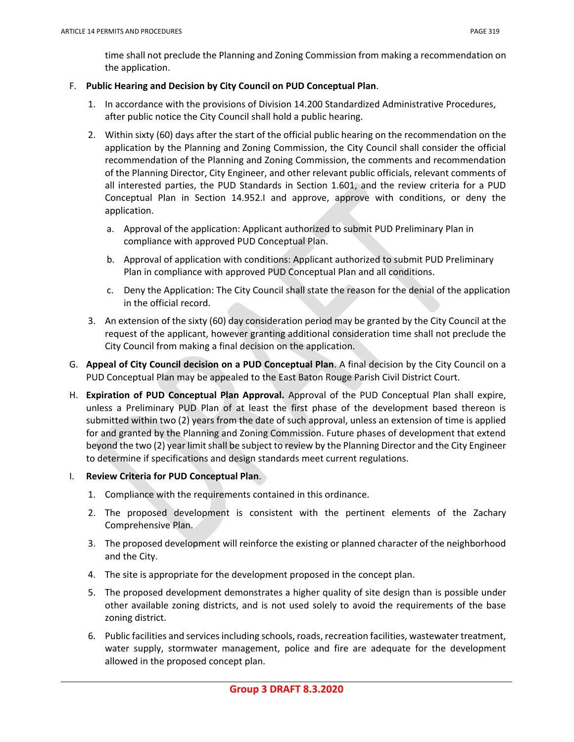time shall not preclude the Planning and Zoning Commission from making a recommendation on the application.

#### F. **Public Hearing and Decision by City Council on PUD Conceptual Plan**.

- 1. In accordance with the provisions of Division 14.200 Standardized Administrative Procedures, after public notice the City Council shall hold a public hearing.
- 2. Within sixty (60) days after the start of the official public hearing on the recommendation on the application by the Planning and Zoning Commission, the City Council shall consider the official recommendation of the Planning and Zoning Commission, the comments and recommendation of the Planning Director, City Engineer, and other relevant public officials, relevant comments of all interested parties, the PUD Standards in Section 1.601, and the review criteria for a PUD Conceptual Plan in Section 14.952.I and approve, approve with conditions, or deny the application.
	- a. Approval of the application: Applicant authorized to submit PUD Preliminary Plan in compliance with approved PUD Conceptual Plan.
	- b. Approval of application with conditions: Applicant authorized to submit PUD Preliminary Plan in compliance with approved PUD Conceptual Plan and all conditions.
	- c. Deny the Application: The City Council shall state the reason for the denial of the application in the official record.
- 3. An extension of the sixty (60) day consideration period may be granted by the City Council at the request of the applicant, however granting additional consideration time shall not preclude the City Council from making a final decision on the application.
- G. **Appeal of City Council decision on a PUD Conceptual Plan**. A final decision by the City Council on a PUD Conceptual Plan may be appealed to the East Baton Rouge Parish Civil District Court.
- H. **Expiration of PUD Conceptual Plan Approval.** Approval of the PUD Conceptual Plan shall expire, unless a Preliminary PUD Plan of at least the first phase of the development based thereon is submitted within two (2) years from the date of such approval, unless an extension of time is applied for and granted by the Planning and Zoning Commission. Future phases of development that extend beyond the two (2) year limit shall be subject to review by the Planning Director and the City Engineer to determine if specifications and design standards meet current regulations.

#### I. **Review Criteria for PUD Conceptual Plan**.

- 1. Compliance with the requirements contained in this ordinance.
- 2. The proposed development is consistent with the pertinent elements of the Zachary Comprehensive Plan.
- 3. The proposed development will reinforce the existing or planned character of the neighborhood and the City.
- 4. The site is appropriate for the development proposed in the concept plan.
- 5. The proposed development demonstrates a higher quality of site design than is possible under other available zoning districts, and is not used solely to avoid the requirements of the base zoning district.
- 6. Public facilities and services including schools, roads, recreation facilities, wastewater treatment, water supply, stormwater management, police and fire are adequate for the development allowed in the proposed concept plan.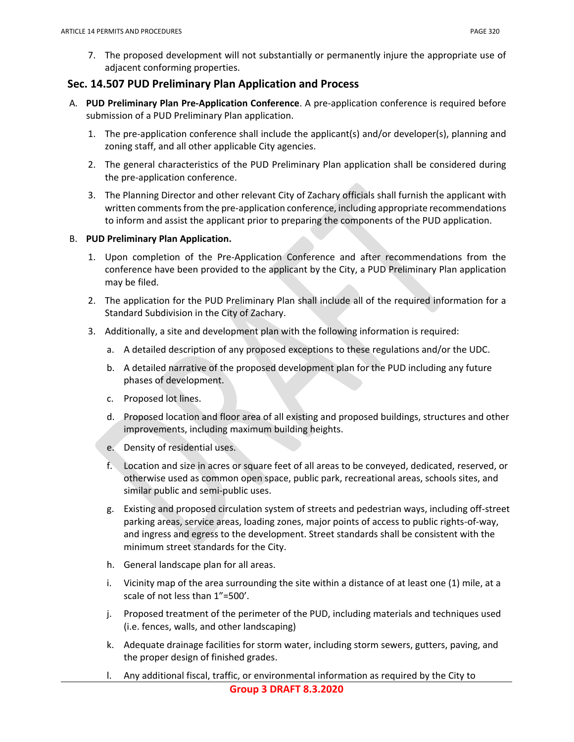7. The proposed development will not substantially or permanently injure the appropriate use of adjacent conforming properties.

### **Sec. 14.507 PUD Preliminary Plan Application and Process**

- A. **PUD Preliminary Plan Pre-Application Conference**. A pre-application conference is required before submission of a PUD Preliminary Plan application.
	- 1. The pre-application conference shall include the applicant(s) and/or developer(s), planning and zoning staff, and all other applicable City agencies.
	- 2. The general characteristics of the PUD Preliminary Plan application shall be considered during the pre-application conference.
	- 3. The Planning Director and other relevant City of Zachary officials shall furnish the applicant with written comments from the pre-application conference, including appropriate recommendations to inform and assist the applicant prior to preparing the components of the PUD application.

#### B. **PUD Preliminary Plan Application.**

- 1. Upon completion of the Pre-Application Conference and after recommendations from the conference have been provided to the applicant by the City, a PUD Preliminary Plan application may be filed.
- 2. The application for the PUD Preliminary Plan shall include all of the required information for a Standard Subdivision in the City of Zachary.
- 3. Additionally, a site and development plan with the following information is required:
	- a. A detailed description of any proposed exceptions to these regulations and/or the UDC.
	- b. A detailed narrative of the proposed development plan for the PUD including any future phases of development.
	- c. Proposed lot lines.
	- d. Proposed location and floor area of all existing and proposed buildings, structures and other improvements, including maximum building heights.
	- e. Density of residential uses.
	- f. Location and size in acres or square feet of all areas to be conveyed, dedicated, reserved, or otherwise used as common open space, public park, recreational areas, schools sites, and similar public and semi-public uses.
	- g. Existing and proposed circulation system of streets and pedestrian ways, including off-street parking areas, service areas, loading zones, major points of access to public rights-of-way, and ingress and egress to the development. Street standards shall be consistent with the minimum street standards for the City.
	- h. General landscape plan for all areas.
	- i. Vicinity map of the area surrounding the site within a distance of at least one (1) mile, at a scale of not less than 1"=500'.
	- j. Proposed treatment of the perimeter of the PUD, including materials and techniques used (i.e. fences, walls, and other landscaping)
	- k. Adequate drainage facilities for storm water, including storm sewers, gutters, paving, and the proper design of finished grades.
	- l. Any additional fiscal, traffic, or environmental information as required by the City to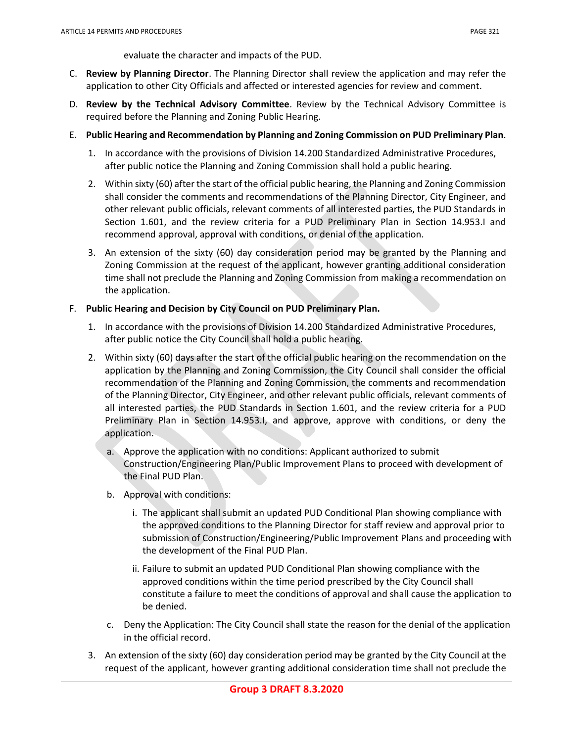evaluate the character and impacts of the PUD.

- C. **Review by Planning Director**. The Planning Director shall review the application and may refer the application to other City Officials and affected or interested agencies for review and comment.
- D. **Review by the Technical Advisory Committee**. Review by the Technical Advisory Committee is required before the Planning and Zoning Public Hearing.
- E. **Public Hearing and Recommendation by Planning and Zoning Commission on PUD Preliminary Plan**.
	- 1. In accordance with the provisions of Division 14.200 Standardized Administrative Procedures, after public notice the Planning and Zoning Commission shall hold a public hearing.
	- 2. Within sixty (60) after the start of the official public hearing, the Planning and Zoning Commission shall consider the comments and recommendations of the Planning Director, City Engineer, and other relevant public officials, relevant comments of all interested parties, the PUD Standards in Section 1.601, and the review criteria for a PUD Preliminary Plan in Section 14.953.I and recommend approval, approval with conditions, or denial of the application.
	- 3. An extension of the sixty (60) day consideration period may be granted by the Planning and Zoning Commission at the request of the applicant, however granting additional consideration time shall not preclude the Planning and Zoning Commission from making a recommendation on the application.

#### F. **Public Hearing and Decision by City Council on PUD Preliminary Plan.**

- 1. In accordance with the provisions of Division 14.200 Standardized Administrative Procedures, after public notice the City Council shall hold a public hearing.
- 2. Within sixty (60) days after the start of the official public hearing on the recommendation on the application by the Planning and Zoning Commission, the City Council shall consider the official recommendation of the Planning and Zoning Commission, the comments and recommendation of the Planning Director, City Engineer, and other relevant public officials, relevant comments of all interested parties, the PUD Standards in Section 1.601, and the review criteria for a PUD Preliminary Plan in Section 14.953.I, and approve, approve with conditions, or deny the application.
	- a. Approve the application with no conditions: Applicant authorized to submit Construction/Engineering Plan/Public Improvement Plans to proceed with development of the Final PUD Plan.
	- b. Approval with conditions:
		- i. The applicant shall submit an updated PUD Conditional Plan showing compliance with the approved conditions to the Planning Director for staff review and approval prior to submission of Construction/Engineering/Public Improvement Plans and proceeding with the development of the Final PUD Plan.
		- ii. Failure to submit an updated PUD Conditional Plan showing compliance with the approved conditions within the time period prescribed by the City Council shall constitute a failure to meet the conditions of approval and shall cause the application to be denied.
	- c. Deny the Application: The City Council shall state the reason for the denial of the application in the official record.
- 3. An extension of the sixty (60) day consideration period may be granted by the City Council at the request of the applicant, however granting additional consideration time shall not preclude the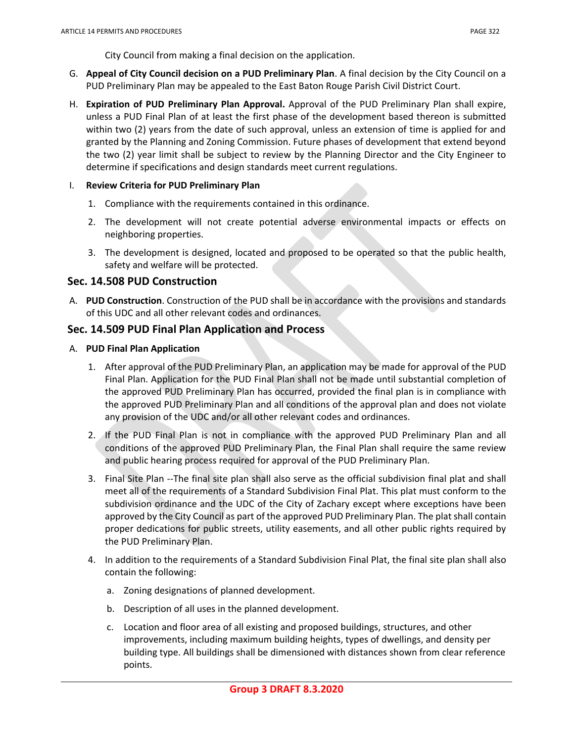City Council from making a final decision on the application.

- G. **Appeal of City Council decision on a PUD Preliminary Plan**. A final decision by the City Council on a PUD Preliminary Plan may be appealed to the East Baton Rouge Parish Civil District Court.
- H. **Expiration of PUD Preliminary Plan Approval.** Approval of the PUD Preliminary Plan shall expire, unless a PUD Final Plan of at least the first phase of the development based thereon is submitted within two (2) years from the date of such approval, unless an extension of time is applied for and granted by the Planning and Zoning Commission. Future phases of development that extend beyond the two (2) year limit shall be subject to review by the Planning Director and the City Engineer to determine if specifications and design standards meet current regulations.

#### I. **Review Criteria for PUD Preliminary Plan**

- 1. Compliance with the requirements contained in this ordinance.
- 2. The development will not create potential adverse environmental impacts or effects on neighboring properties.
- 3. The development is designed, located and proposed to be operated so that the public health, safety and welfare will be protected.

### **Sec. 14.508 PUD Construction**

A. **PUD Construction**. Construction of the PUD shall be in accordance with the provisions and standards of this UDC and all other relevant codes and ordinances.

### **Sec. 14.509 PUD Final Plan Application and Process**

- A. **PUD Final Plan Application**
	- 1. After approval of the PUD Preliminary Plan, an application may be made for approval of the PUD Final Plan. Application for the PUD Final Plan shall not be made until substantial completion of the approved PUD Preliminary Plan has occurred, provided the final plan is in compliance with the approved PUD Preliminary Plan and all conditions of the approval plan and does not violate any provision of the UDC and/or all other relevant codes and ordinances.
	- 2. If the PUD Final Plan is not in compliance with the approved PUD Preliminary Plan and all conditions of the approved PUD Preliminary Plan, the Final Plan shall require the same review and public hearing process required for approval of the PUD Preliminary Plan.
	- 3. Final Site Plan --The final site plan shall also serve as the official subdivision final plat and shall meet all of the requirements of a Standard Subdivision Final Plat. This plat must conform to the subdivision ordinance and the UDC of the City of Zachary except where exceptions have been approved by the City Council as part of the approved PUD Preliminary Plan. The plat shall contain proper dedications for public streets, utility easements, and all other public rights required by the PUD Preliminary Plan.
	- 4. In addition to the requirements of a Standard Subdivision Final Plat, the final site plan shall also contain the following:
		- a. Zoning designations of planned development.
		- b. Description of all uses in the planned development.
		- c. Location and floor area of all existing and proposed buildings, structures, and other improvements, including maximum building heights, types of dwellings, and density per building type. All buildings shall be dimensioned with distances shown from clear reference points.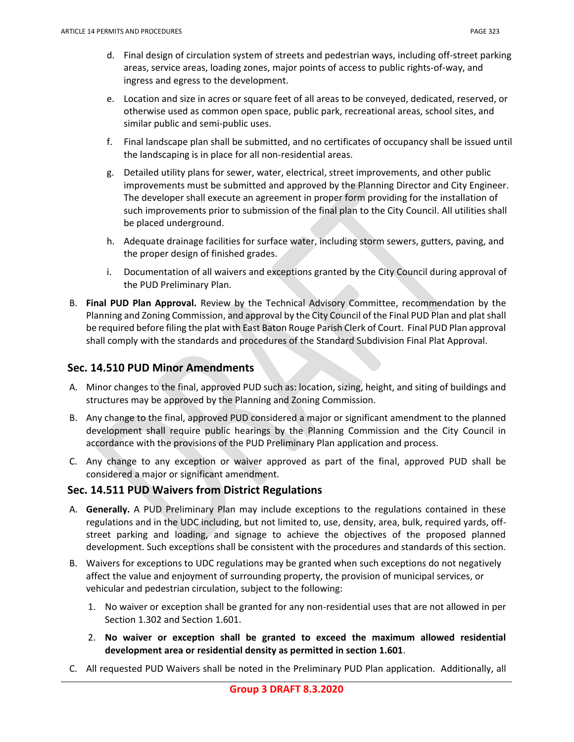- d. Final design of circulation system of streets and pedestrian ways, including off-street parking areas, service areas, loading zones, major points of access to public rights-of-way, and ingress and egress to the development.
- e. Location and size in acres or square feet of all areas to be conveyed, dedicated, reserved, or otherwise used as common open space, public park, recreational areas, school sites, and similar public and semi-public uses.
- f. Final landscape plan shall be submitted, and no certificates of occupancy shall be issued until the landscaping is in place for all non-residential areas.
- g. Detailed utility plans for sewer, water, electrical, street improvements, and other public improvements must be submitted and approved by the Planning Director and City Engineer. The developer shall execute an agreement in proper form providing for the installation of such improvements prior to submission of the final plan to the City Council. All utilities shall be placed underground.
- h. Adequate drainage facilities for surface water, including storm sewers, gutters, paving, and the proper design of finished grades.
- i. Documentation of all waivers and exceptions granted by the City Council during approval of the PUD Preliminary Plan.
- B. **Final PUD Plan Approval.** Review by the Technical Advisory Committee, recommendation by the Planning and Zoning Commission, and approval by the City Council of the Final PUD Plan and plat shall be required before filing the plat with East Baton Rouge Parish Clerk of Court. Final PUD Plan approval shall comply with the standards and procedures of the Standard Subdivision Final Plat Approval.

## **Sec. 14.510 PUD Minor Amendments**

- A. Minor changes to the final, approved PUD such as: location, sizing, height, and siting of buildings and structures may be approved by the Planning and Zoning Commission.
- B. Any change to the final, approved PUD considered a major or significant amendment to the planned development shall require public hearings by the Planning Commission and the City Council in accordance with the provisions of the PUD Preliminary Plan application and process.
- C. Any change to any exception or waiver approved as part of the final, approved PUD shall be considered a major or significant amendment.

# **Sec. 14.511 PUD Waivers from District Regulations**

- A. **Generally.** A PUD Preliminary Plan may include exceptions to the regulations contained in these regulations and in the UDC including, but not limited to, use, density, area, bulk, required yards, offstreet parking and loading, and signage to achieve the objectives of the proposed planned development. Such exceptions shall be consistent with the procedures and standards of this section.
- B. Waivers for exceptions to UDC regulations may be granted when such exceptions do not negatively affect the value and enjoyment of surrounding property, the provision of municipal services, or vehicular and pedestrian circulation, subject to the following:
	- 1. No waiver or exception shall be granted for any non-residential uses that are not allowed in per Section 1.302 and Section 1.601.
	- 2. **No waiver or exception shall be granted to exceed the maximum allowed residential development area or residential density as permitted in section 1.601**.
- C. All requested PUD Waivers shall be noted in the Preliminary PUD Plan application. Additionally, all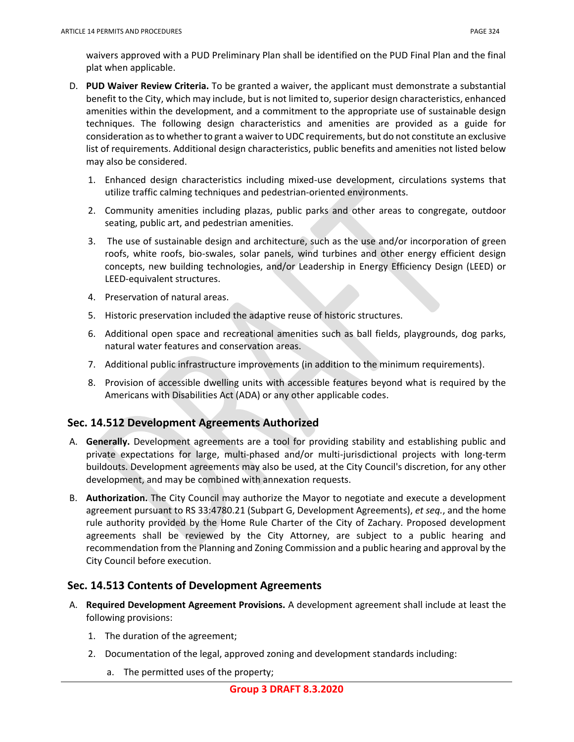waivers approved with a PUD Preliminary Plan shall be identified on the PUD Final Plan and the final plat when applicable.

- D. **PUD Waiver Review Criteria.** To be granted a waiver, the applicant must demonstrate a substantial benefit to the City, which may include, but is not limited to, superior design characteristics, enhanced amenities within the development, and a commitment to the appropriate use of sustainable design techniques. The following design characteristics and amenities are provided as a guide for consideration as to whether to grant a waiver to UDC requirements, but do not constitute an exclusive list of requirements. Additional design characteristics, public benefits and amenities not listed below may also be considered.
	- 1. Enhanced design characteristics including mixed-use development, circulations systems that utilize traffic calming techniques and pedestrian-oriented environments.
	- 2. Community amenities including plazas, public parks and other areas to congregate, outdoor seating, public art, and pedestrian amenities.
	- 3. The use of sustainable design and architecture, such as the use and/or incorporation of green roofs, white roofs, bio-swales, solar panels, wind turbines and other energy efficient design concepts, new building technologies, and/or Leadership in Energy Efficiency Design (LEED) or LEED-equivalent structures.
	- 4. Preservation of natural areas.
	- 5. Historic preservation included the adaptive reuse of historic structures.
	- 6. Additional open space and recreational amenities such as ball fields, playgrounds, dog parks, natural water features and conservation areas.
	- 7. Additional public infrastructure improvements (in addition to the minimum requirements).
	- 8. Provision of accessible dwelling units with accessible features beyond what is required by the Americans with Disabilities Act (ADA) or any other applicable codes.

### **Sec. 14.512 Development Agreements Authorized**

- A. **Generally.** Development agreements are a tool for providing stability and establishing public and private expectations for large, multi‐phased and/or multi-jurisdictional projects with long‐term buildouts. Development agreements may also be used, at the City Council's discretion, for any other development, and may be combined with annexation requests.
- B. **Authorization.** The City Council may authorize the Mayor to negotiate and execute a development agreement pursuant to RS 33:4780.21 (Subpart G, Development Agreements), *et seq.*, and the home rule authority provided by the Home Rule Charter of the City of Zachary. Proposed development agreements shall be reviewed by the City Attorney, are subject to a public hearing and recommendation from the Planning and Zoning Commission and a public hearing and approval by the City Council before execution.

### **Sec. 14.513 Contents of Development Agreements**

- A. **Required Development Agreement Provisions.** A development agreement shall include at least the following provisions:
	- 1. The duration of the agreement;
	- 2. Documentation of the legal, approved zoning and development standards including:
		- a. The permitted uses of the property;